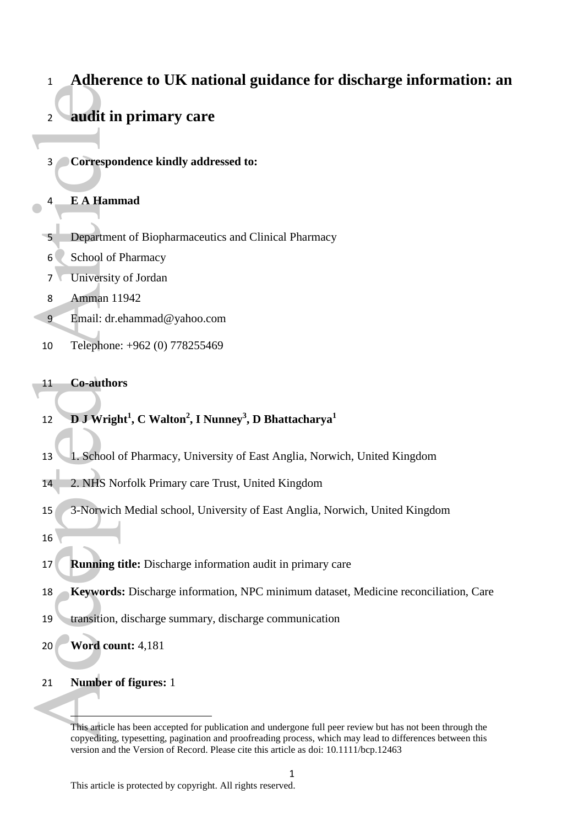# **Adherence to UK national guidance for discharge information: an audit in primary care**  $\overline{2}$ 2 **audit in**<br>
3 **Correspon**<br>
4 **EA Hamm**<br>
5 **Departmer**<br>
6 School of 1<br>
7 University<br>
8 Amman 11<br>
9 Email: dr.c<br>
10 Telephone<br>
11 **Co-author**<br>
12 **D.J** Wrigh<br>
13 **L. School (14 2. NHS N(15 3-Norwich 16 17 <b>Running t**<br>
18

**Correspondence kindly addressed to:** 

### **E A Hammad**

- Department of Biopharmaceutics and Clinical Pharmacy
- School of Pharmacy
- University of Jordan
- Amman 11942
- Email: dr.ehammad@yahoo.com
- Telephone: +962 (0) 778255469

### **Co-authors**

### **D J Wright<sup>1</sup> , C Walton<sup>2</sup> , I Nunney<sup>3</sup> , D Bhattacharya<sup>1</sup>**

- 1. School of Pharmacy, University of East Anglia, Norwich, United Kingdom
- 2. NHS Norfolk Primary care Trust, United Kingdom
- 3-Norwich Medial school, University of East Anglia, Norwich, United Kingdom
- 
- **Running title:** Discharge information audit in primary care
- **Keywords:** Discharge information, NPC minimum dataset, Medicine reconciliation, Care
- transition, discharge summary, discharge communication
- **Word count:** 4,181
- **Number of figures:** 1

 $\overline{a}$ 

This article has been accepted for publication and undergone full peer review but has not been through the copyediting, typesetting, pagination and proofreading process, which may lead to differences between this version and the Version of Record. Please cite this article as doi: 10.1111/bcp.12463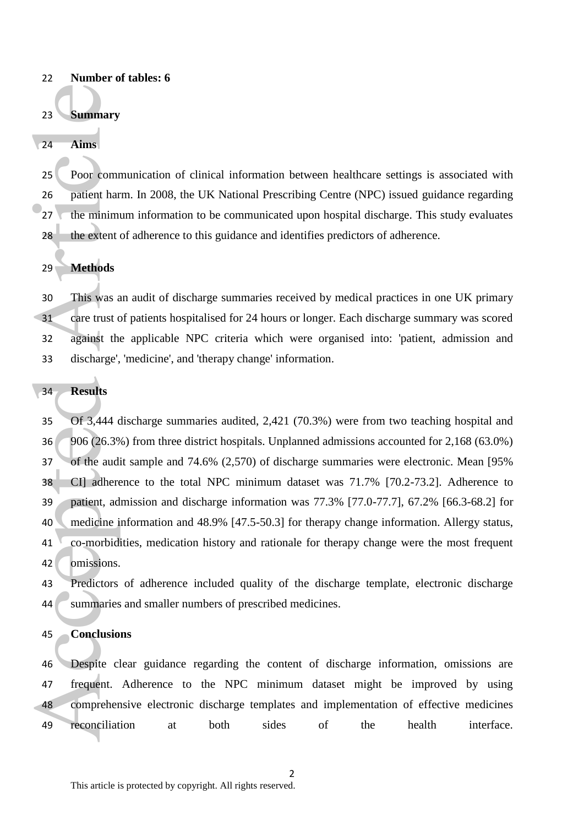### **Number of tables: 6**

### **Summary**

**Aims** 

 Poor communication of clinical information between healthcare settings is associated with patient harm. In 2008, the UK National Prescribing Centre (NPC) issued guidance regarding 27 the minimum information to be communicated upon hospital discharge. This study evaluates 28 the extent of adherence to this guidance and identifies predictors of adherence.

### **Methods**

 This was an audit of discharge summaries received by medical practices in one UK primary care trust of patients hospitalised for 24 hours or longer. Each discharge summary was scored against the applicable NPC criteria which were organised into: 'patient, admission and discharge', 'medicine', and 'therapy change' information.

### **Results**

 Of 3,444 discharge summaries audited, 2,421 (70.3%) were from two teaching hospital and 906 (26.3%) from three district hospitals. Unplanned admissions accounted for 2,168 (63.0%) of the audit sample and 74.6% (2,570) of discharge summaries were electronic. Mean [95% CI] adherence to the total NPC minimum dataset was 71.7% [70.2-73.2]. Adherence to patient, admission and discharge information was 77.3% [77.0-77.7], 67.2% [66.3-68.2] for medicine information and 48.9% [47.5-50.3] for therapy change information. Allergy status, co-morbidities, medication history and rationale for therapy change were the most frequent omissions. 23 Summary<br>
24 Aims<br>
25 Poor comm<br>
26 patient har<br>
27 the minim<br>
18 the extent<br>
19 Methods<br>
30 This was a<br>
31 care trust of<br>
32 against the discharge',<br>
34 Results<br>
35 Of 3,444 of<br>
36 906 (26.39<br>
37 of the aud<br>
38 CI adher

 Predictors of adherence included quality of the discharge template, electronic discharge 44 summaries and smaller numbers of prescribed medicines.

### **Conclusions**

 Despite clear guidance regarding the content of discharge information, omissions are frequent. Adherence to the NPC minimum dataset might be improved by using comprehensive electronic discharge templates and implementation of effective medicines reconciliation at both sides of the health interface.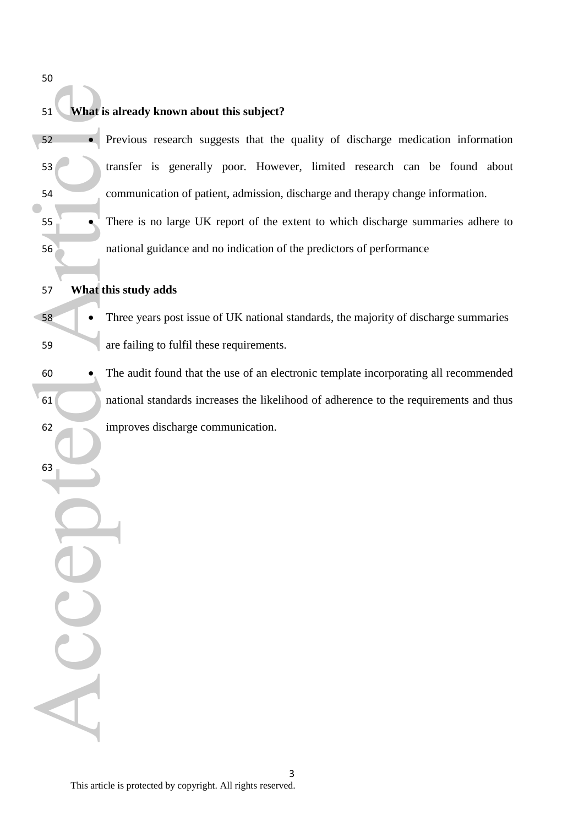# **What is already known about this subject?**

 Previous research suggests that the quality of discharge medication information transfer is generally poor. However, limited research can be found about communication of patient, admission, discharge and therapy change information. 51 What is al<br>
52 Pre<br>
53 B<br>
54 Cor<br>
55 C<br>
55 C<br>
56 The nat<br>
67 What this<br>
62 C<br>
63 C<br>
63 C<br>
63 C<br>
63 C<br>
63 C<br>
63 C<br>
63 C<br>
7 The nat

 There is no large UK report of the extent to which discharge summaries adhere to national guidance and no indication of the predictors of performance

### **What this study adds**

 Three years post issue of UK national standards, the majority of discharge summaries are failing to fulfil these requirements.

 The audit found that the use of an electronic template incorporating all recommended national standards increases the likelihood of adherence to the requirements and thus improves discharge communication.

SO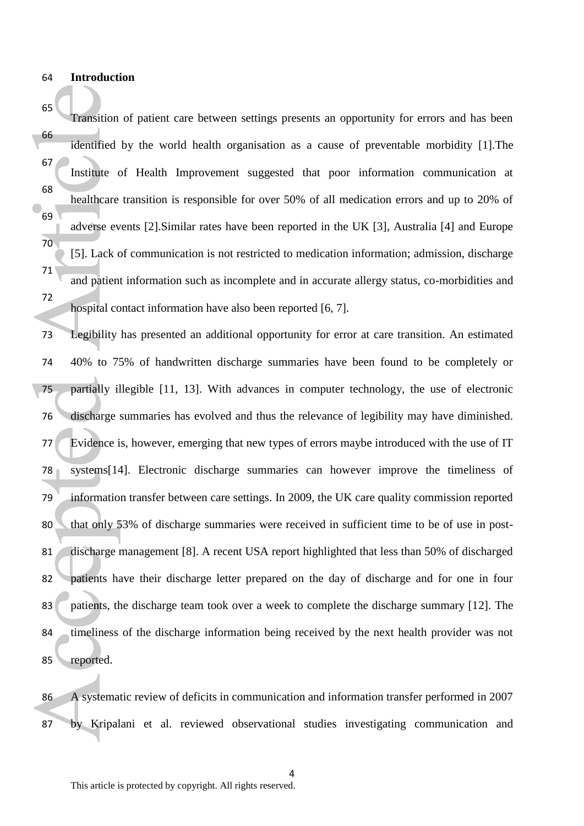### **Introduction**

Transition of patient care between settings presents an opportunity for errors and has been identified by the world health organisation as a cause of preventable morbidity [1].The Institute of Health Improvement suggested that poor information communication at healthcare transition is responsible for over 50% of all medication errors and up to 20% of adverse events [2].Similar rates have been reported in the UK [3], Australia [4] and Europe [5]. Lack of communication is not restricted to medication information; admission, discharge and patient information such as incomplete and in accurate allergy status, co-morbidities and hospital contact information have also been reported [6, 7]. 

 Legibility has presented an additional opportunity for error at care transition. An estimated 40% to 75% of handwritten discharge summaries have been found to be completely or partially illegible [11, 13]. With advances in computer technology, the use of electronic discharge summaries has evolved and thus the relevance of legibility may have diminished. Evidence is, however, emerging that new types of errors maybe introduced with the use of IT systems[14]. Electronic discharge summaries can however improve the timeliness of information transfer between care settings. In 2009, the UK care quality commission reported 80 that only 53% of discharge summaries were received in sufficient time to be of use in post- discharge management [8]. A recent USA report highlighted that less than 50% of discharged patients have their discharge letter prepared on the day of discharge and for one in four 83 patients, the discharge team took over a week to complete the discharge summary [12]. The 84 timeliness of the discharge information being received by the next health provider was not reported. 65<br>
Transition<br>
66<br>
identified<br>
67<br>
Institute c<br>
healthcare<br>
adverse ev<br>
70<br>
3 adverse ev<br>
71<br>
and patien<br>
72<br>
hospital cc<br>
73 Legibility<br>
74 40% to 7:<br>
75 partially il<br>
76 discharge<br>
77 Evidence i<br>
78 systems[14<br>
79 infor

 A systematic review of deficits in communication and information transfer performed in 2007 by Kripalani et al. reviewed observational studies investigating communication and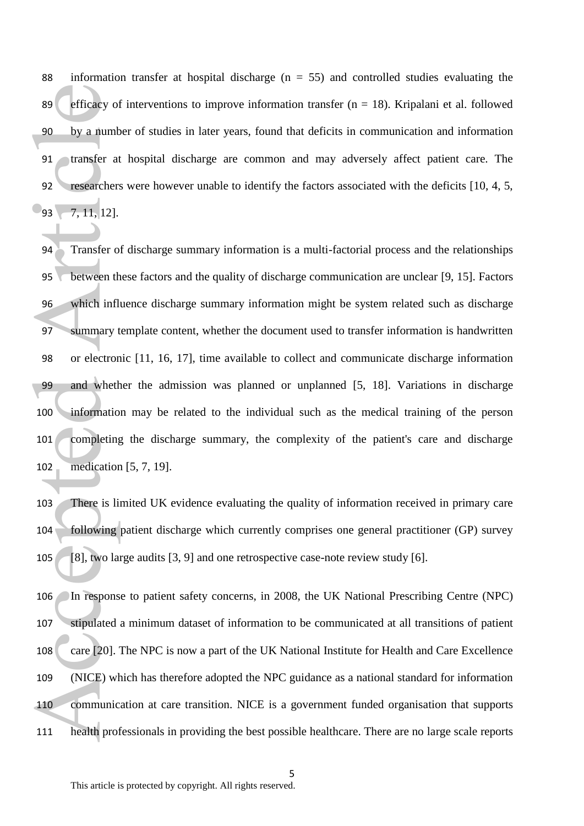information transfer at hospital discharge (n = 55) and controlled studies evaluating the 89 efficacy of interventions to improve information transfer ( $n = 18$ ). Kripalani et al. followed by a number of studies in later years, found that deficits in communication and information transfer at hospital discharge are common and may adversely affect patient care. The 92 researchers were however unable to identify the factors associated with the deficits [10, 4, 5, 7, 11, 12].

94 Transfer of discharge summary information is a multi-factorial process and the relationships between these factors and the quality of discharge communication are unclear [9, 15]. Factors which influence discharge summary information might be system related such as discharge summary template content, whether the document used to transfer information is handwritten or electronic [11, 16, 17], time available to collect and communicate discharge information and whether the admission was planned or unplanned [5, 18]. Variations in discharge information may be related to the individual such as the medical training of the person completing the discharge summary, the complexity of the patient's care and discharge medication [5, 7, 19]. 89 efficacy of<br>90 by a numb<br>91 transfer at<br>92 researchers<br>93 7, 11, 12].<br>94 Transfer of<br>95 between th<br>96 which infl<br>97 summary t<br>98 or electror<br>99 and wheth<br>107 and wheth<br>100 informatio<br>102 medicatior<br>102 medicatior<br>103 Th

- There is limited UK evidence evaluating the quality of information received in primary care following patient discharge which currently comprises one general practitioner (GP) survey [8], two large audits [3, 9] and one retrospective case-note review study [6].
- In response to patient safety concerns, in 2008, the UK National Prescribing Centre (NPC) stipulated a minimum dataset of information to be communicated at all transitions of patient care [20]. The NPC is now a part of the UK National Institute for Health and Care Excellence (NICE) which has therefore adopted the NPC guidance as a national standard for information communication at care transition. NICE is a government funded organisation that supports health professionals in providing the best possible healthcare. There are no large scale reports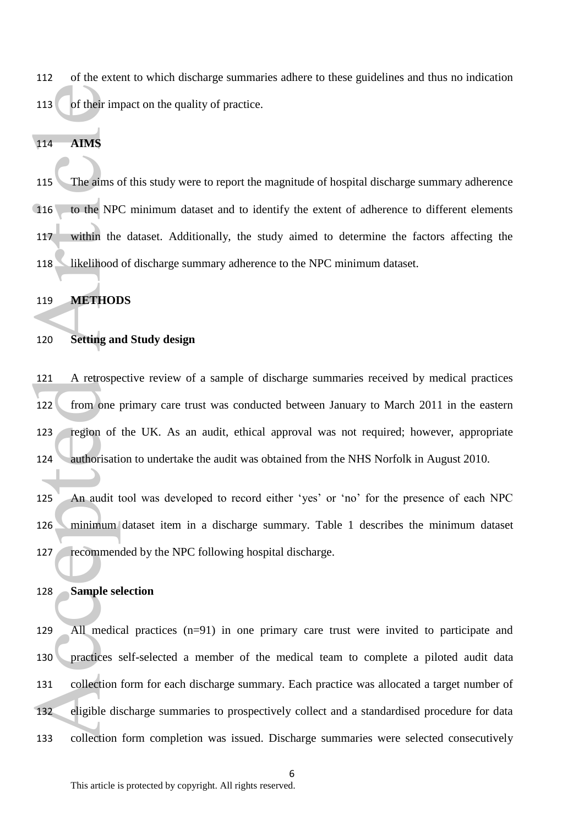of the extent to which discharge summaries adhere to these guidelines and thus no indication 113 of their impact on the quality of practice.

### **AIMS**

 The aims of this study were to report the magnitude of hospital discharge summary adherence 116 to the NPC minimum dataset and to identify the extent of adherence to different elements within the dataset. Additionally, the study aimed to determine the factors affecting the 118 likelihood of discharge summary adherence to the NPC minimum dataset.

### **METHODS**

### **Setting and Study design**

 A retrospective review of a sample of discharge summaries received by medical practices from one primary care trust was conducted between January to March 2011 in the eastern region of the UK. As an audit, ethical approval was not required; however, appropriate authorisation to undertake the audit was obtained from the NHS Norfolk in August 2010.

 An audit tool was developed to record either 'yes' or 'no' for the presence of each NPC minimum dataset item in a discharge summary. Table 1 describes the minimum dataset recommended by the NPC following hospital discharge.

### **Sample selection**

 All medical practices (n=91) in one primary care trust were invited to participate and practices self-selected a member of the medical team to complete a piloted audit data collection form for each discharge summary. Each practice was allocated a target number of eligible discharge summaries to prospectively collect and a standardised procedure for data collection form completion was issued. Discharge summaries were selected consecutively 113 of their im<br>
114 AIMS<br>
115 The aims of<br>
116 to the NPO<br>
117 within the<br>
118 likelihood<br>
119 METHOI<br>
120 Setting an<br>
121 A retrospe<br>
122 from one<br>
123 region of<br>
124 authorisati<br>
125 An audit 1<br>
125 An audit 1<br>
125 An a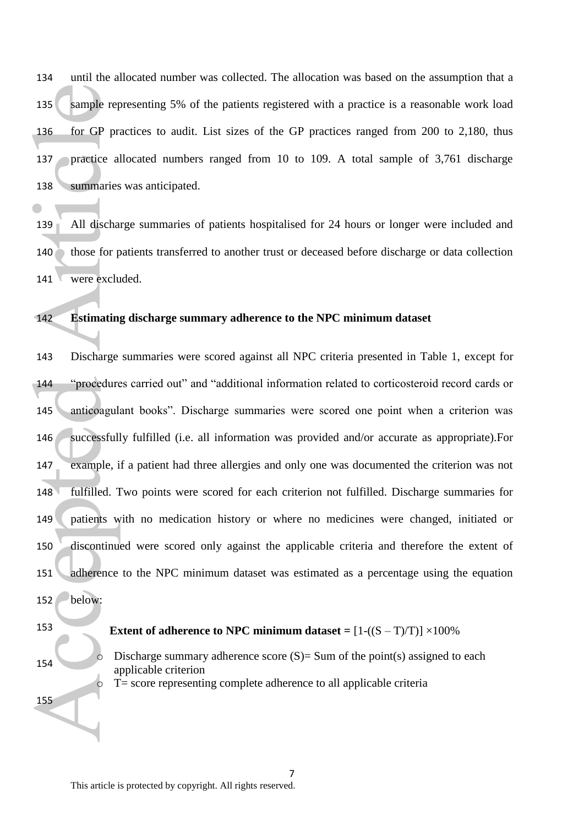until the allocated number was collected. The allocation was based on the assumption that a sample representing 5% of the patients registered with a practice is a reasonable work load for GP practices to audit. List sizes of the GP practices ranged from 200 to 2,180, thus practice allocated numbers ranged from 10 to 109. A total sample of 3,761 discharge summaries was anticipated.

 All discharge summaries of patients hospitalised for 24 hours or longer were included and 140 those for patients transferred to another trust or deceased before discharge or data collection were excluded.

### **Estimating discharge summary adherence to the NPC minimum dataset**

 Discharge summaries were scored against all NPC criteria presented in Table 1, except for "procedures carried out" and "additional information related to corticosteroid record cards or anticoagulant books". Discharge summaries were scored one point when a criterion was successfully fulfilled (i.e. all information was provided and/or accurate as appropriate).For example, if a patient had three allergies and only one was documented the criterion was not fulfilled. Two points were scored for each criterion not fulfilled. Discharge summaries for 149 patients with no medication history or where no medicines were changed, initiated or discontinued were scored only against the applicable criteria and therefore the extent of 151 adherence to the NPC minimum dataset was estimated as a percentage using the equation below: 135 sample represent to the summaries and summaries 138 summaries 138 summaries 139 All discha those for present 141 were excluded those for present 142 Estimating 142 Successfull 145 anticoagul.<br>144 "procedure anticoagul.

 $\bullet$ 

### **Extent of adherence to NPC minimum dataset =**  $[1-(S-T)/T)] \times 100\%$

Discharge summary adherence score  $(S)$ = Sum of the point(s) assigned to each applicable criterion

 $T = score$  representing complete adherence to all applicable criteria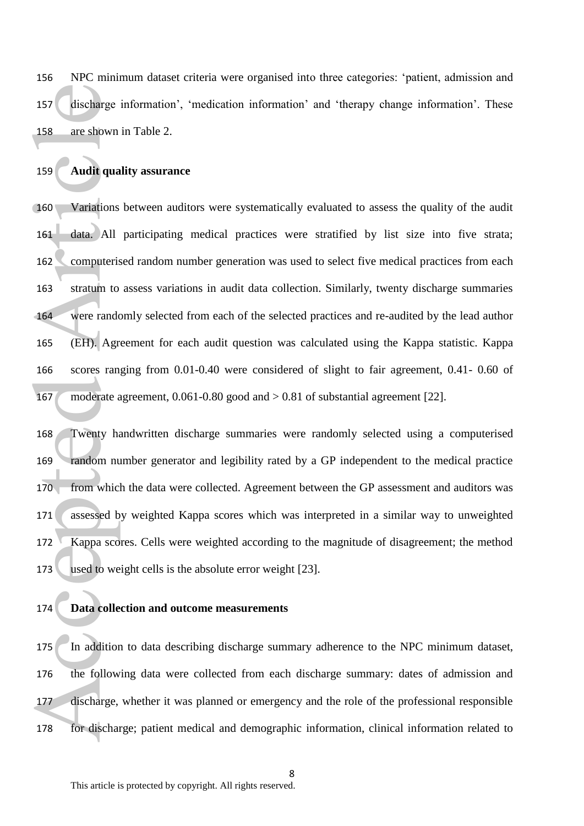NPC minimum dataset criteria were organised into three categories: 'patient, admission and discharge information', 'medication information' and 'therapy change information'. These are shown in Table 2.

### **Audit quality assurance**

 Variations between auditors were systematically evaluated to assess the quality of the audit data. All participating medical practices were stratified by list size into five strata; computerised random number generation was used to select five medical practices from each stratum to assess variations in audit data collection. Similarly, twenty discharge summaries were randomly selected from each of the selected practices and re-audited by the lead author (EH). Agreement for each audit question was calculated using the Kappa statistic. Kappa scores ranging from 0.01-0.40 were considered of slight to fair agreement, 0.41- 0.60 of moderate agreement, 0.061-0.80 good and > 0.81 of substantial agreement [22]. 157 discharge<br>158 are shown<br>159 Audit qua<br>160 Variations<br>161 data. All<br>162 computeris<br>163 stratum to<br>164 were rand<br>164 were rand<br>165 (EH). Agr<br>165 scores ran<br>167 moderate a<br>167 moderate a<br>168 Twenty ha<br>169 random nu<br>170 fr

 Twenty handwritten discharge summaries were randomly selected using a computerised random number generator and legibility rated by a GP independent to the medical practice from which the data were collected. Agreement between the GP assessment and auditors was assessed by weighted Kappa scores which was interpreted in a similar way to unweighted Kappa scores. Cells were weighted according to the magnitude of disagreement; the method used to weight cells is the absolute error weight [23].

### **Data collection and outcome measurements**

175 In addition to data describing discharge summary adherence to the NPC minimum dataset, the following data were collected from each discharge summary: dates of admission and discharge, whether it was planned or emergency and the role of the professional responsible for discharge; patient medical and demographic information, clinical information related to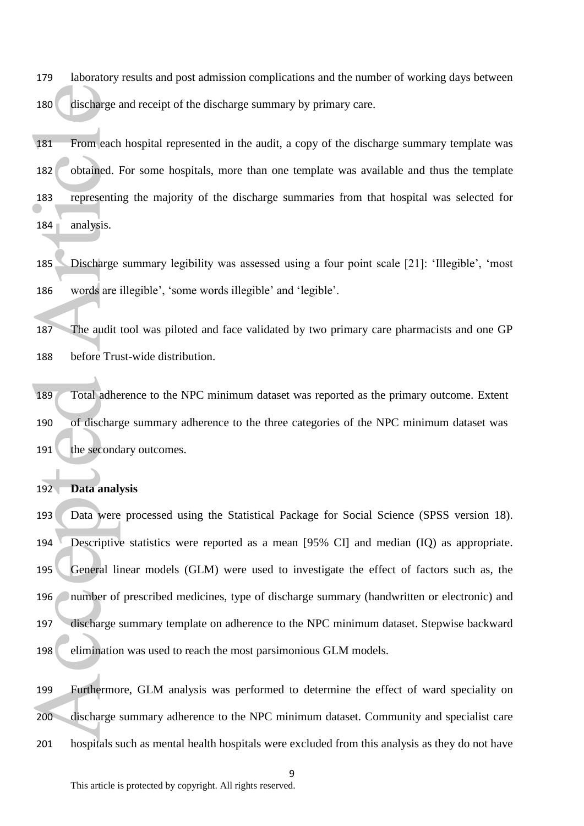- laboratory results and post admission complications and the number of working days between discharge and receipt of the discharge summary by primary care.
- From each hospital represented in the audit, a copy of the discharge summary template was 182 obtained. For some hospitals, more than one template was available and thus the template representing the majority of the discharge summaries from that hospital was selected for 184 analysis.
- Discharge summary legibility was assessed using a four point scale [21]: 'Illegible', 'most words are illegible', 'some words illegible' and 'legible'.
- The audit tool was piloted and face validated by two primary care pharmacists and one GP before Trust-wide distribution.
- 189 Total adherence to the NPC minimum dataset was reported as the primary outcome. Extent of discharge summary adherence to the three categories of the NPC minimum dataset was 191 the secondary outcomes.

### **Data analysis**

 Data were processed using the Statistical Package for Social Science (SPSS version 18). Descriptive statistics were reported as a mean [95% CI] and median (IQ) as appropriate. General linear models (GLM) were used to investigate the effect of factors such as, the number of prescribed medicines, type of discharge summary (handwritten or electronic) and discharge summary template on adherence to the NPC minimum dataset. Stepwise backward elimination was used to reach the most parsimonious GLM models. 180 discharge<br>
181 From each<br>
182 obtained. 1<br>
183 representir<br>
184 analysis.<br>
185 Discharge<br>
186 words are<br>
187 The audit<br>
187 The audit<br>
187 The audit<br>
187 The audit<br>
189 Total adhe<br>
190 of discharg<br>
191 the second<br>
192

 Furthermore, GLM analysis was performed to determine the effect of ward speciality on discharge summary adherence to the NPC minimum dataset. Community and specialist care hospitals such as mental health hospitals were excluded from this analysis as they do not have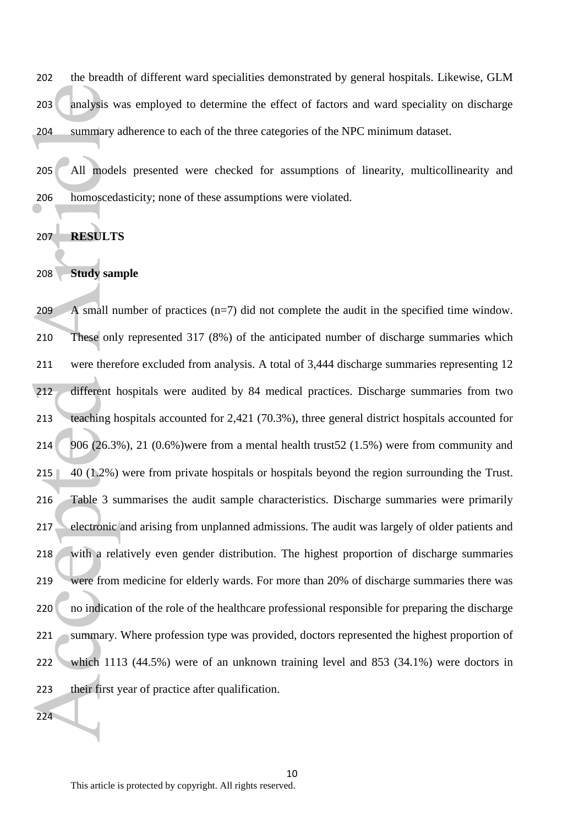the breadth of different ward specialities demonstrated by general hospitals. Likewise, GLM analysis was employed to determine the effect of factors and ward speciality on discharge summary adherence to each of the three categories of the NPC minimum dataset.

 All models presented were checked for assumptions of linearity, multicollinearity and homoscedasticity; none of these assumptions were violated.

### **RESULTS**

### **Study sample**

 A small number of practices (n=7) did not complete the audit in the specified time window. These only represented 317 (8%) of the anticipated number of discharge summaries which were therefore excluded from analysis. A total of 3,444 discharge summaries representing 12 different hospitals were audited by 84 medical practices. Discharge summaries from two teaching hospitals accounted for 2,421 (70.3%), three general district hospitals accounted for 906 (26.3%), 21 (0.6%)were from a mental health trust52 (1.5%) were from community and 215 40 (1.2%) were from private hospitals or hospitals beyond the region surrounding the Trust. Table 3 summarises the audit sample characteristics. Discharge summaries were primarily electronic and arising from unplanned admissions. The audit was largely of older patients and with a relatively even gender distribution. The highest proportion of discharge summaries were from medicine for elderly wards. For more than 20% of discharge summaries there was no indication of the role of the healthcare professional responsible for preparing the discharge 221 Summary. Where profession type was provided, doctors represented the highest proportion of which 1113 (44.5%) were of an unknown training level and 853 (34.1%) were doctors in their first year of practice after qualification. 203 analysis w<br>
204 summary a<br>
205 All model<br>
205 All model<br>
207 **RESULTS**<br>
208 Study sam<br>
209 A small nu<br>
210 These only<br>
211 were there<br>
212 different h<br>
213 teaching h<br>
214 906 (26.39<br>
215 40 (1.2%)<br>
215 40 (1.2%)<br>
215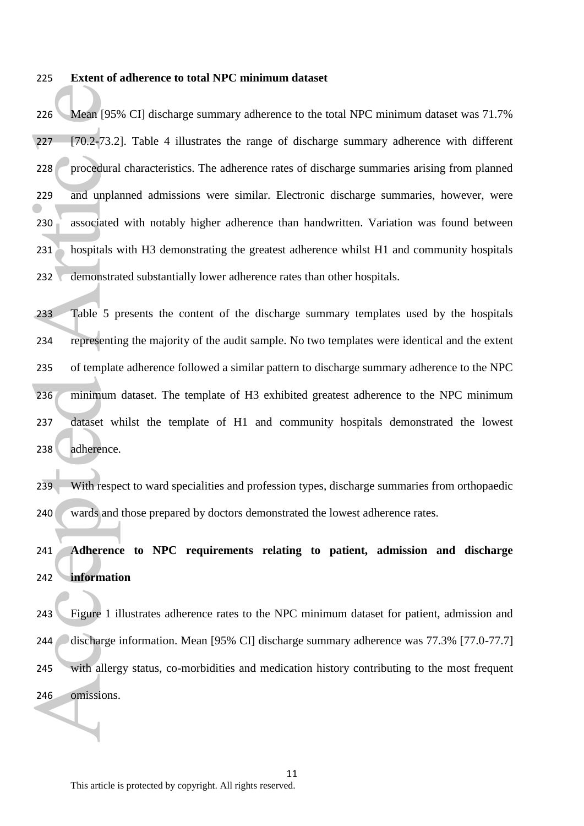### **Extent of adherence to total NPC minimum dataset**

226 Mean [95% CI] discharge summary adherence to the total NPC minimum dataset was 71.7% [70.2-73.2]. Table 4 illustrates the range of discharge summary adherence with different procedural characteristics. The adherence rates of discharge summaries arising from planned and unplanned admissions were similar. Electronic discharge summaries, however, were associated with notably higher adherence than handwritten. Variation was found between hospitals with H3 demonstrating the greatest adherence whilst H1 and community hospitals 232 demonstrated substantially lower adherence rates than other hospitals. 226 Mean [959<br>
227 [70.2-73.2<br>
228 procedural<br>
230 and unpla<br>
230 associated<br>
231 hospitals v<br>
232 demonstra<br>
233 Table 5 p<br>
234 representir<br>
235 of template<br>
235 of template<br>
237 dataset w<br>
238 adherence<br>
239 With respe<br>

 Table 5 presents the content of the discharge summary templates used by the hospitals representing the majority of the audit sample. No two templates were identical and the extent of template adherence followed a similar pattern to discharge summary adherence to the NPC minimum dataset. The template of H3 exhibited greatest adherence to the NPC minimum dataset whilst the template of H1 and community hospitals demonstrated the lowest adherence.

 With respect to ward specialities and profession types, discharge summaries from orthopaedic wards and those prepared by doctors demonstrated the lowest adherence rates.

## **Adherence to NPC requirements relating to patient, admission and discharge information**

 Figure 1 illustrates adherence rates to the NPC minimum dataset for patient, admission and 244 discharge information. Mean [95% CI] discharge summary adherence was 77.3% [77.0-77.7] with allergy status, co-morbidities and medication history contributing to the most frequent omissions.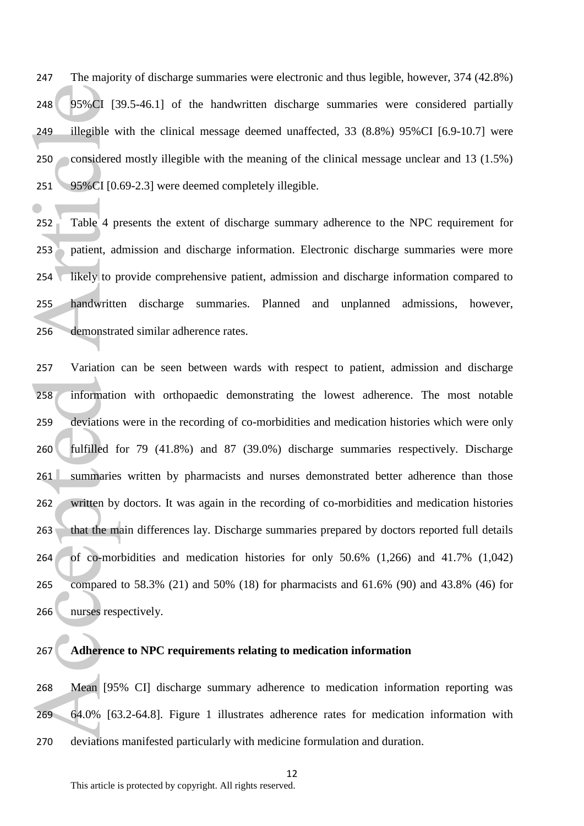247 The majority of discharge summaries were electronic and thus legible, however, 374 (42.8%) 95%CI [39.5-46.1] of the handwritten discharge summaries were considered partially illegible with the clinical message deemed unaffected, 33 (8.8%) 95%CI [6.9-10.7] were 250 considered mostly illegible with the meaning of the clinical message unclear and 13 (1.5%) 95%CI [0.69-2.3] were deemed completely illegible.

 Table 4 presents the extent of discharge summary adherence to the NPC requirement for patient, admission and discharge information. Electronic discharge summaries were more 254 likely to provide comprehensive patient, admission and discharge information compared to handwritten discharge summaries. Planned and unplanned admissions, however, demonstrated similar adherence rates.

 Variation can be seen between wards with respect to patient, admission and discharge information with orthopaedic demonstrating the lowest adherence. The most notable deviations were in the recording of co-morbidities and medication histories which were only fulfilled for 79 (41.8%) and 87 (39.0%) discharge summaries respectively. Discharge summaries written by pharmacists and nurses demonstrated better adherence than those written by doctors. It was again in the recording of co-morbidities and medication histories 263 that the main differences lay. Discharge summaries prepared by doctors reported full details 264 of co-morbidities and medication histories for only 50.6%  $(1,266)$  and 41.7%  $(1,042)$  compared to 58.3% (21) and 50% (18) for pharmacists and 61.6% (90) and 43.8% (46) for nurses respectively. 248 95%CI [3<br>
249 illegible w<br>
250 considered<br>
251 95%CI [0.<br>
252 Table 4 p<br>
253 patient, ad<br>
254 likely to p<br>
255 handwritte<br>
255 camonstra<br>
257 Variation<br>
258 informatio<br>
260 fulfilled f<br>
261 summaries<br>
262 written by<br>
2

 $\blacksquare$ 

### **Adherence to NPC requirements relating to medication information**

 Mean [95% CI] discharge summary adherence to medication information reporting was 64.0% [63.2-64.8]. Figure 1 illustrates adherence rates for medication information with deviations manifested particularly with medicine formulation and duration.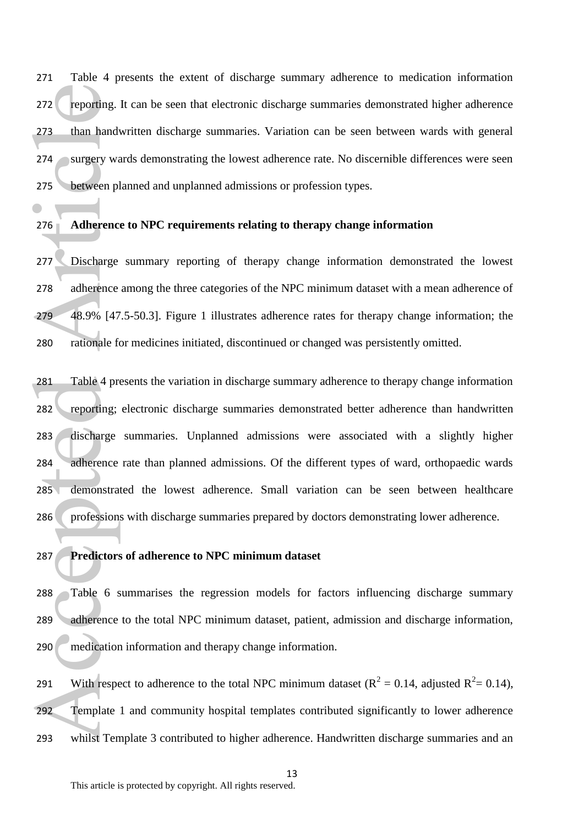Table 4 presents the extent of discharge summary adherence to medication information reporting. It can be seen that electronic discharge summaries demonstrated higher adherence than handwritten discharge summaries. Variation can be seen between wards with general 274 surgery wards demonstrating the lowest adherence rate. No discernible differences were seen between planned and unplanned admissions or profession types.

### **Adherence to NPC requirements relating to therapy change information**

 $\blacksquare$ 

 Discharge summary reporting of therapy change information demonstrated the lowest adherence among the three categories of the NPC minimum dataset with a mean adherence of 48.9% [47.5-50.3]. Figure 1 illustrates adherence rates for therapy change information; the rationale for medicines initiated, discontinued or changed was persistently omitted.

 Table 4 presents the variation in discharge summary adherence to therapy change information reporting; electronic discharge summaries demonstrated better adherence than handwritten discharge summaries. Unplanned admissions were associated with a slightly higher adherence rate than planned admissions. Of the different types of ward, orthopaedic wards demonstrated the lowest adherence. Small variation can be seen between healthcare professions with discharge summaries prepared by doctors demonstrating lower adherence. 272 reporting.<br>
273 than hand<br>
274 surgery wa<br>
275 between pl<br>
275 between pl<br>
276 Adherence<br>
277 Discharge<br>
282 adherence<br>
282 rationale fo<br>
281 Table 4 pr<br>
282 reporting;<br>
282 discharge<br>
284 adherence<br>
285 demonstra<br>
285

### **Predictors of adherence to NPC minimum dataset**

 Table 6 summarises the regression models for factors influencing discharge summary 289 adherence to the total NPC minimum dataset, patient, admission and discharge information, medication information and therapy change information.

291 With respect to adherence to the total NPC minimum dataset ( $R^2 = 0.14$ , adjusted  $R^2 = 0.14$ ), Template 1 and community hospital templates contributed significantly to lower adherence whilst Template 3 contributed to higher adherence. Handwritten discharge summaries and an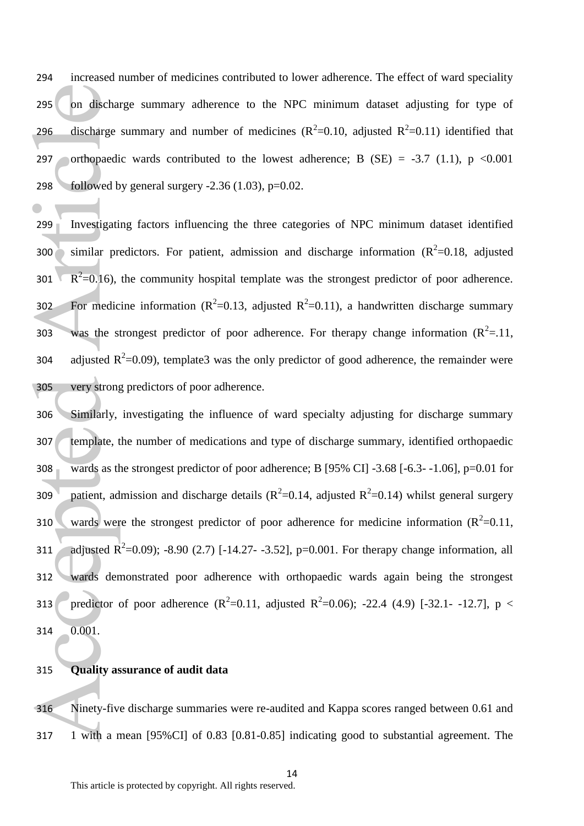294 increased number of medicines contributed to lower adherence. The effect of ward speciality 295 on discharge summary adherence to the NPC minimum dataset adjusting for type of 296 discharge summary and number of medicines  $(R^2=0.10,$  adjusted  $R^2=0.11$ ) identified that 297 orthopaedic wards contributed to the lowest adherence; B (SE) =  $-3.7$  (1.1), p <0.001 298 followed by general surgery  $-2.36$  (1.03), p=0.02.

299 Investigating factors influencing the three categories of NPC minimum dataset identified 300 similar predictors. For patient, admission and discharge information  $(R^2=0.18$ , adjusted 301  $\sqrt{R^2}$ =0.16), the community hospital template was the strongest predictor of poor adherence. 302 For medicine information ( $R^2$ =0.13, adjusted  $R^2$ =0.11), a handwritten discharge summary 303 was the strongest predictor of poor adherence. For therapy change information  $(R^2=11, R^2=11)$ 304 adjusted  $R^2$ =0.09), template3 was the only predictor of good adherence, the remainder were 305 very strong predictors of poor adherence.

306 Similarly, investigating the influence of ward specialty adjusting for discharge summary 307 template, the number of medications and type of discharge summary, identified orthopaedic 308 wards as the strongest predictor of poor adherence; B [95% CI] -3.68 [-6.3- -1.06], p=0.01 for 309 patient, admission and discharge details ( $R^2$ =0.14, adjusted  $R^2$ =0.14) whilst general surgery 310 wards were the strongest predictor of poor adherence for medicine information  $(R^2=0.11,$ 311 adjusted R<sup>2</sup>=0.09); -8.90 (2.7) [-14.27- -3.52], p=0.001. For therapy change information, all 312 wards demonstrated poor adherence with orthopaedic wards again being the strongest 313 predictor of poor adherence  $(R^2=0.11$ , adjusted  $R^2=0.06$ ; -22.4 (4.9) [-32.1- -12.7], p < 314 0.001. 295 on discharge<br>
296 discharge<br>
297 orthopaedi<br>
298 followed b<br>
299 Investigati<br>
300 similar pr<br>
301  $R^2=0.16$ ,<br>
302 For medic<br>
303 was the s<br>
304 adjusted R<br>
305 very strong<br>
306 Similarly,<br>
207 template, t<br>
308 wards

315 **Quality assurance of audit data** 

 $\bullet$ 

316 Ninety-five discharge summaries were re-audited and Kappa scores ranged between 0.61 and 317 1 with a mean [95%CI] of 0.83 [0.81-0.85] indicating good to substantial agreement. The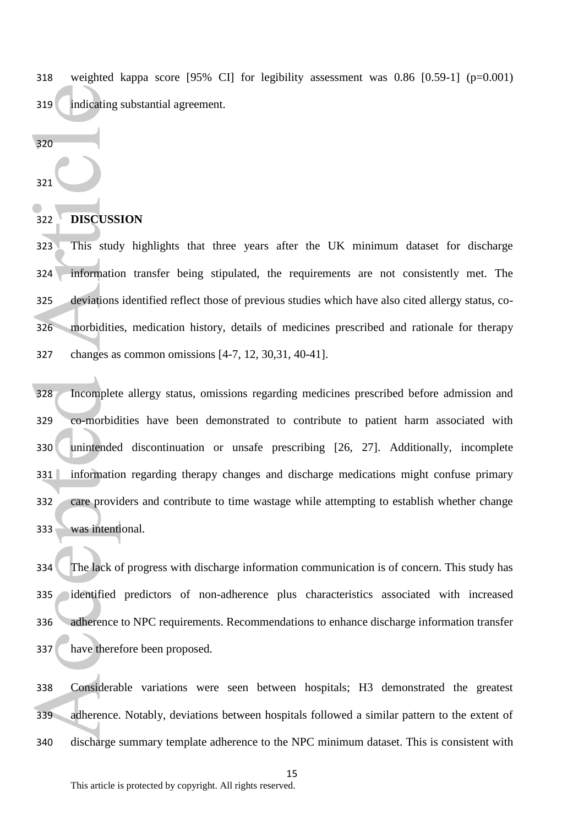weighted kappa score [95% CI] for legibility assessment was 0.86 [0.59-1] (p=0.001) indicating substantial agreement.

### **DISCUSSION**

 This study highlights that three years after the UK minimum dataset for discharge information transfer being stipulated, the requirements are not consistently met. The deviations identified reflect those of previous studies which have also cited allergy status, co- morbidities, medication history, details of medicines prescribed and rationale for therapy changes as common omissions [4-7, 12, 30,31, 40-41].

 Incomplete allergy status, omissions regarding medicines prescribed before admission and co-morbidities have been demonstrated to contribute to patient harm associated with unintended discontinuation or unsafe prescribing [26, 27]. Additionally, incomplete information regarding therapy changes and discharge medications might confuse primary care providers and contribute to time wastage while attempting to establish whether change was intentional. 319 indicating<br>320<br>321 DISCUSS<br>322 DISCUSS<br>323 This stud<br>324 informatio<br>325 deviations<br>326 morbiditie<br>changes as<br>328 Incomplet<br>4329 co-morbid<br>330 unintendec<br>331 informatio<br>332 care provid<br>332 care provid<br>332 care provid<br>33

 The lack of progress with discharge information communication is of concern. This study has identified predictors of non-adherence plus characteristics associated with increased adherence to NPC requirements. Recommendations to enhance discharge information transfer have therefore been proposed.

 Considerable variations were seen between hospitals; H3 demonstrated the greatest adherence. Notably, deviations between hospitals followed a similar pattern to the extent of discharge summary template adherence to the NPC minimum dataset. This is consistent with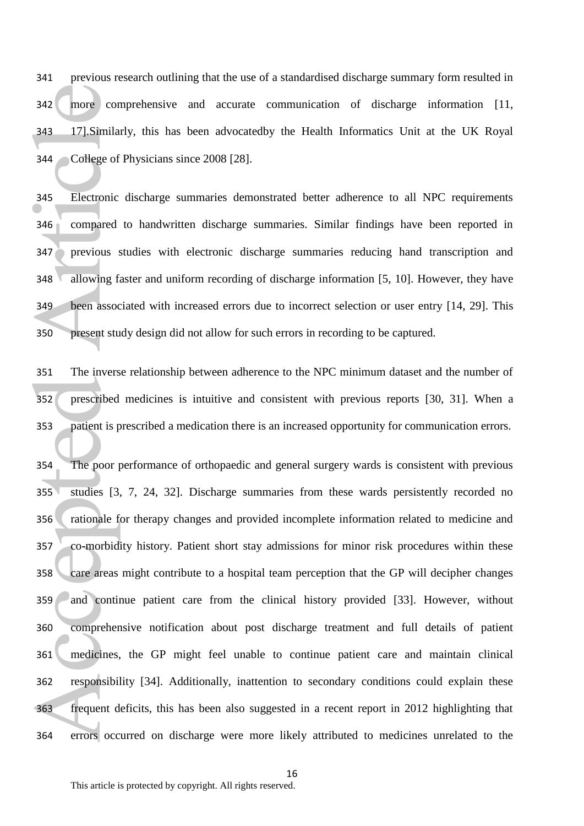previous research outlining that the use of a standardised discharge summary form resulted in more comprehensive and accurate communication of discharge information [11, 17].Similarly, this has been advocatedby the Health Informatics Unit at the UK Royal College of Physicians since 2008 [28].

 Electronic discharge summaries demonstrated better adherence to all NPC requirements compared to handwritten discharge summaries. Similar findings have been reported in previous studies with electronic discharge summaries reducing hand transcription and 348 allowing faster and uniform recording of discharge information [5, 10]. However, they have been associated with increased errors due to incorrect selection or user entry [14, 29]. This present study design did not allow for such errors in recording to be captured.

 The inverse relationship between adherence to the NPC minimum dataset and the number of prescribed medicines is intuitive and consistent with previous reports [30, 31]. When a patient is prescribed a medication there is an increased opportunity for communication errors.

 The poor performance of orthopaedic and general surgery wards is consistent with previous studies [3, 7, 24, 32]. Discharge summaries from these wards persistently recorded no rationale for therapy changes and provided incomplete information related to medicine and co-morbidity history. Patient short stay admissions for minor risk procedures within these care areas might contribute to a hospital team perception that the GP will decipher changes and continue patient care from the clinical history provided [33]. However, without comprehensive notification about post discharge treatment and full details of patient medicines, the GP might feel unable to continue patient care and maintain clinical responsibility [34]. Additionally, inattention to secondary conditions could explain these frequent deficits, this has been also suggested in a recent report in 2012 highlighting that errors occurred on discharge were more likely attributed to medicines unrelated to the 342 more cor<br>
343 17].Simila<br>
344 College of<br>
345 Electronic<br>
246 compared<br>
347 previous<br>
348 allowing f<br>
349 been assoc<br>
350 present stu<br>
351 The invers<br>
352 preseribed<br>
353 patient is p<br>
354 The poor p<br>
355 studies [3]<br>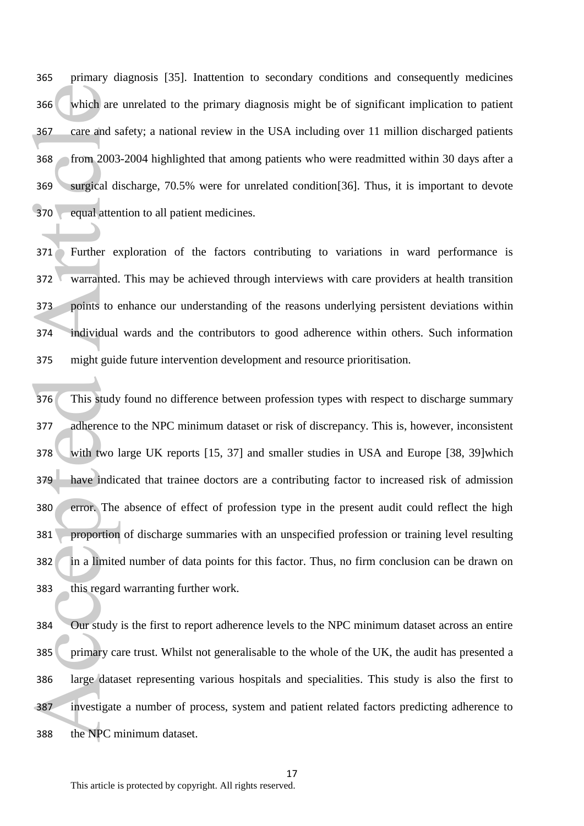primary diagnosis [35]. Inattention to secondary conditions and consequently medicines which are unrelated to the primary diagnosis might be of significant implication to patient care and safety; a national review in the USA including over 11 million discharged patients 368 from 2003-2004 highlighted that among patients who were readmitted within 30 days after a surgical discharge, 70.5% were for unrelated condition[36]. Thus, it is important to devote equal attention to all patient medicines.

 Further exploration of the factors contributing to variations in ward performance is warranted. This may be achieved through interviews with care providers at health transition points to enhance our understanding of the reasons underlying persistent deviations within individual wards and the contributors to good adherence within others. Such information might guide future intervention development and resource prioritisation.

 This study found no difference between profession types with respect to discharge summary adherence to the NPC minimum dataset or risk of discrepancy. This is, however, inconsistent with two large UK reports [15, 37] and smaller studies in USA and Europe [38, 39]which have indicated that trainee doctors are a contributing factor to increased risk of admission error. The absence of effect of profession type in the present audit could reflect the high proportion of discharge summaries with an unspecified profession or training level resulting 382 in a limited number of data points for this factor. Thus, no firm conclusion can be drawn on this regard warranting further work. 366 which are<br>367 care and s.<br>368 from 2003<br>369 surgical di<br>370 equal atten<br>371 Further e:<br>372 warranted.<br>373 points to 6<br>374 individual<br>375 might guid<br>375 might guid<br>375 might guid<br>375 with two 1<br>379 have indic<br>380 error.

 Our study is the first to report adherence levels to the NPC minimum dataset across an entire primary care trust. Whilst not generalisable to the whole of the UK, the audit has presented a large dataset representing various hospitals and specialities. This study is also the first to investigate a number of process, system and patient related factors predicting adherence to the NPC minimum dataset.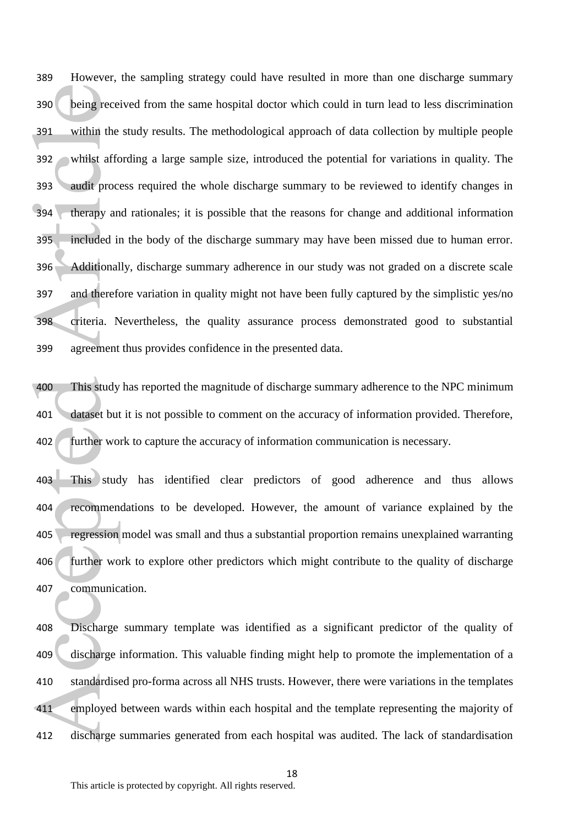However, the sampling strategy could have resulted in more than one discharge summary being received from the same hospital doctor which could in turn lead to less discrimination within the study results. The methodological approach of data collection by multiple people whilst affording a large sample size, introduced the potential for variations in quality. The audit process required the whole discharge summary to be reviewed to identify changes in therapy and rationales; it is possible that the reasons for change and additional information included in the body of the discharge summary may have been missed due to human error. Additionally, discharge summary adherence in our study was not graded on a discrete scale and therefore variation in quality might not have been fully captured by the simplistic yes/no criteria. Nevertheless, the quality assurance process demonstrated good to substantial agreement thus provides confidence in the presented data. 390 being rece<br>391 within the<br>392 whilst afformation<br>393 and therapy and therapy and therefore<br>396 and therefore<br>398 criteria. N<br>399 agreement<br>400 This study<br>401 dataset but<br>402 further wo<br>403 This study<br>403 This study<br>403

 This study has reported the magnitude of discharge summary adherence to the NPC minimum dataset but it is not possible to comment on the accuracy of information provided. Therefore, further work to capture the accuracy of information communication is necessary.

 This study has identified clear predictors of good adherence and thus allows recommendations to be developed. However, the amount of variance explained by the regression model was small and thus a substantial proportion remains unexplained warranting further work to explore other predictors which might contribute to the quality of discharge communication.

 Discharge summary template was identified as a significant predictor of the quality of discharge information. This valuable finding might help to promote the implementation of a standardised pro-forma across all NHS trusts. However, there were variations in the templates employed between wards within each hospital and the template representing the majority of discharge summaries generated from each hospital was audited. The lack of standardisation

```
18
```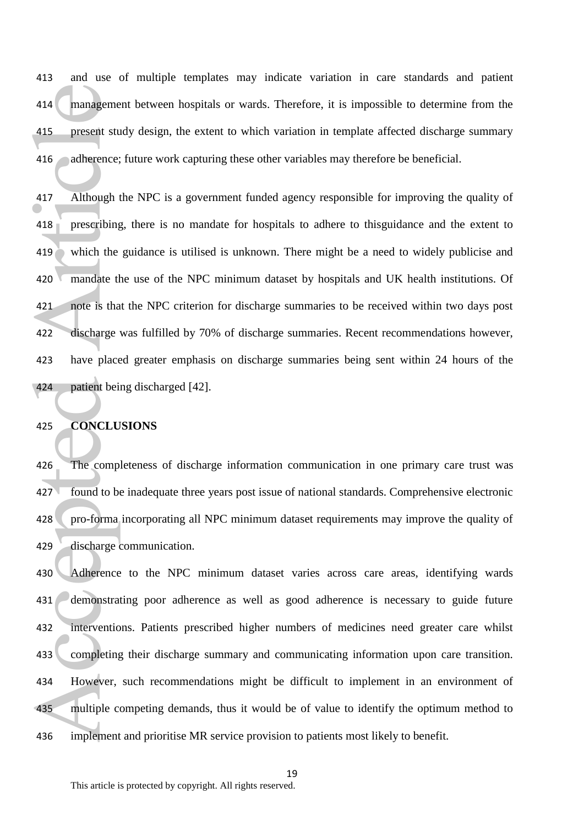and use of multiple templates may indicate variation in care standards and patient management between hospitals or wards. Therefore, it is impossible to determine from the present study design, the extent to which variation in template affected discharge summary 416 adherence; future work capturing these other variables may therefore be beneficial.

 Although the NPC is a government funded agency responsible for improving the quality of prescribing, there is no mandate for hospitals to adhere to thisguidance and the extent to which the guidance is utilised is unknown. There might be a need to widely publicise and mandate the use of the NPC minimum dataset by hospitals and UK health institutions. Of note is that the NPC criterion for discharge summaries to be received within two days post discharge was fulfilled by 70% of discharge summaries. Recent recommendations however, have placed greater emphasis on discharge summaries being sent within 24 hours of the patient being discharged [42]. 414 manageme<br>
415 present stt<br>
415 adherence;<br>
416 adherence;<br>
417 Although<br>
418 preseribing<br>
which the<br>
420 mandate tl<br>
421 note is tha<br>
422 discharge<br>
423 have place<br>
424 patient bei<br>
425 CONCLU<br>
426 The comp<br>
427 found

### **CONCLUSIONS**

 The completeness of discharge information communication in one primary care trust was found to be inadequate three years post issue of national standards. Comprehensive electronic 428 pro-forma incorporating all NPC minimum dataset requirements may improve the quality of discharge communication.

 Adherence to the NPC minimum dataset varies across care areas, identifying wards demonstrating poor adherence as well as good adherence is necessary to guide future interventions. Patients prescribed higher numbers of medicines need greater care whilst completing their discharge summary and communicating information upon care transition. However, such recommendations might be difficult to implement in an environment of multiple competing demands, thus it would be of value to identify the optimum method to implement and prioritise MR service provision to patients most likely to benefit.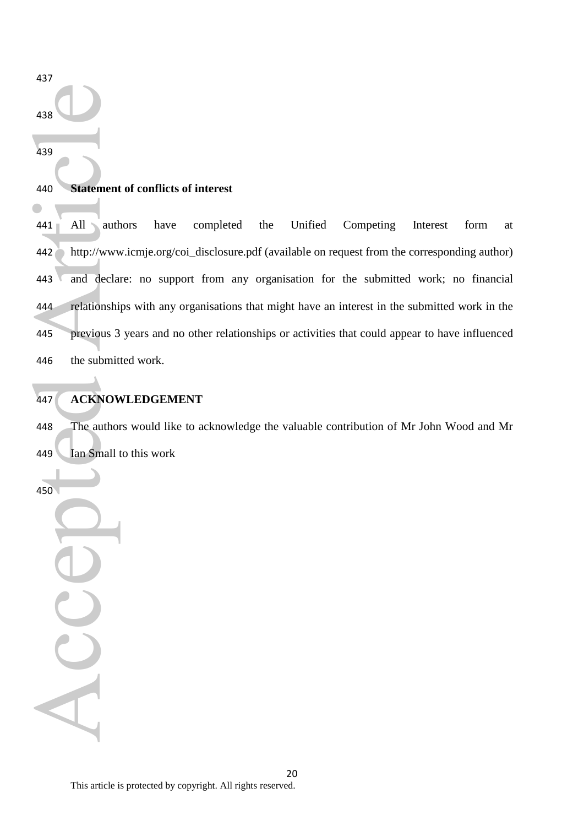

**Statement of conflicts of interest** 

 All authors have completed the Unified Competing Interest form at http://www.icmje.org/coi\_disclosure.pdf (available on request from the corresponding author) 443 and declare: no support from any organisation for the submitted work; no financial relationships with any organisations that might have an interest in the submitted work in the previous 3 years and no other relationships or activities that could appear to have influenced the submitted work. 438<br>
440<br>
441 All authority://www<br>
442 http://www<br>
443 and decla<br>
444 relationshi<br>
445 previous 3<br>
446 the submit<br>
447 ACKNOV<br>
448 The author<br>
449 Ian Small<br>
450

### **ACKNOWLEDGEMENT**

 The authors would like to acknowledge the valuable contribution of Mr John Wood and Mr Ian Small to this work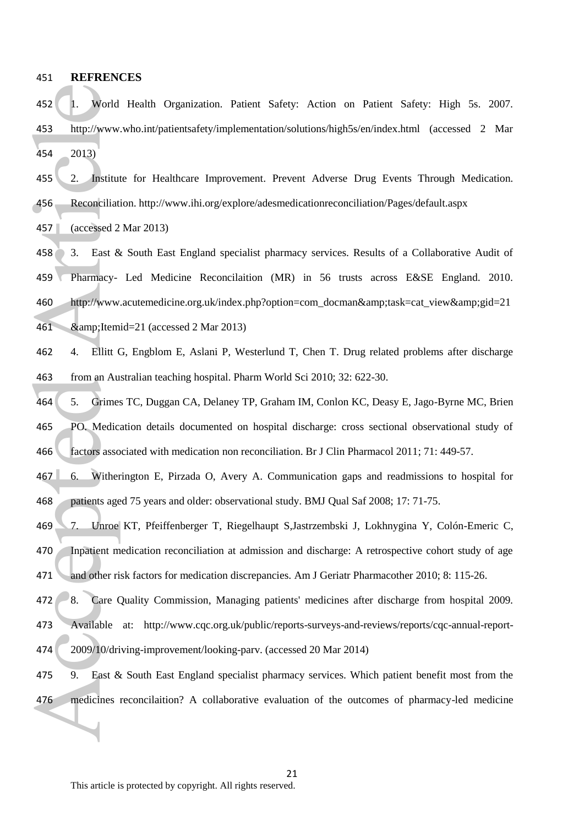### **REFRENCES**

- 1. World Health Organization. Patient Safety: Action on Patient Safety: High 5s. 2007. http://www.who.int/patientsafety/implementation/solutions/high5s/en/index.html (accessed 2 Mar 2013)
- 2. Institute for Healthcare Improvement. Prevent Adverse Drug Events Through Medication. Reconciliation. http://www.ihi.org/explore/adesmedicationreconciliation/Pages/default.aspx

(accessed 2 Mar 2013)

- 3. East & South East England specialist pharmacy services. Results of a Collaborative Audit of Pharmacy- Led Medicine Reconcilaition (MR) in 56 trusts across E&SE England. 2010. 460 http://www.acutemedicine.org.uk/index.php?option=com\_docman&task=cat\_view&gid=21 461 &  $\&$ amp; Itemid=21 (accessed 2 Mar 2013) 452 1. World<br>453 http://www<br>454 2013)<br>455 2. Instituted Article Reconciliat<br>456 Reconciliat<br>457 (accessed 2<br>458 3. East &<br>459 Pharmacy-<br>460 http://www<br>461 &amp;Item<br>462 4. Ellitt (463 from an Au<br>464 5. Grimes<br>465 PO. Medic
- 4. Ellitt G, Engblom E, Aslani P, Westerlund T, Chen T. Drug related problems after discharge from an Australian teaching hospital. Pharm World Sci 2010; 32: 622-30.
- 5. Grimes TC, Duggan CA, Delaney TP, Graham IM, Conlon KC, Deasy E, Jago-Byrne MC, Brien PO. Medication details documented on hospital discharge: cross sectional observational study of factors associated with medication non reconciliation. Br J Clin Pharmacol 2011; 71: 449-57.
- 6. Witherington E, Pirzada O, Avery A. Communication gaps and readmissions to hospital for patients aged 75 years and older: observational study. BMJ Qual Saf 2008; 17: 71-75.
- 7. Unroe KT, Pfeiffenberger T, Riegelhaupt S,Jastrzembski J, Lokhnygina Y, Colón-Emeric C, Inpatient medication reconciliation at admission and discharge: A retrospective cohort study of age and other risk factors for medication discrepancies. Am J Geriatr Pharmacother 2010; 8: 115-26.
- 472 8. Care Quality Commission, Managing patients' medicines after discharge from hospital 2009. Available at: http://www.cqc.org.uk/public/reports-surveys-and-reviews/reports/cqc-annual-report-
- 2009/10/driving-improvement/looking-parv. (accessed 20 Mar 2014)
- 9. East & South East England specialist pharmacy services. Which patient benefit most from the medicines reconcilaition? A collaborative evaluation of the outcomes of pharmacy-led medicine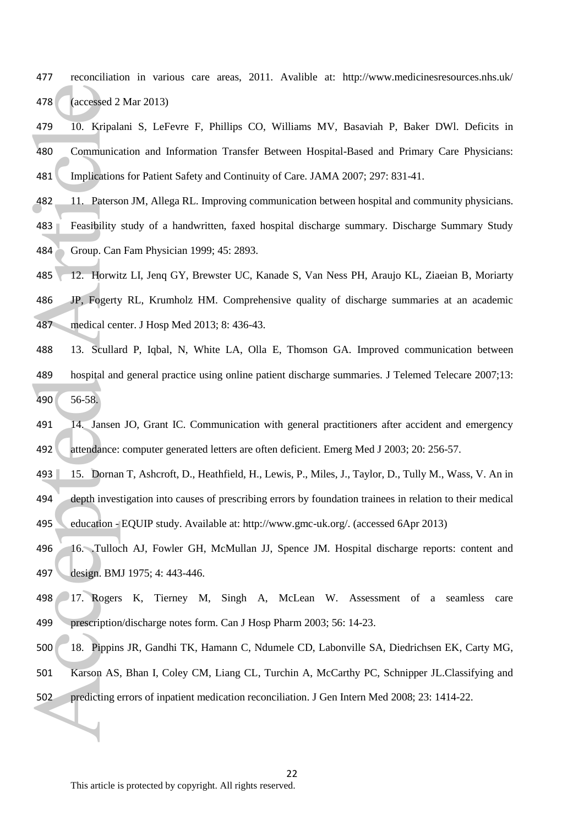- reconciliation in various care areas, 2011. Avalible at: http://www.medicinesresources.nhs.uk/ (accessed 2 Mar 2013)
- 10. Kripalani S, LeFevre F, Phillips CO, Williams MV, Basaviah P, Baker DWl. Deficits in Communication and Information Transfer Between Hospital-Based and Primary Care Physicians: Implications for Patient Safety and Continuity of Care. JAMA 2007; 297: 831-41. 478 (accessed 2<br>479 10. Kripal:<br>480 Communic:<br>481 Implication<br>482 11. Paters<br>483 Feasibility<br>484 Group. Can<br>485 12. Horwii<br>486 JP, Fogerty<br>12. Horwii<br>486 JP, Fogerty<br>1487 medical cer<br>488 13. Scullar<br>489 hospital an<br>490 56-
- 11. Paterson JM, Allega RL. Improving communication between hospital and community physicians.
- Feasibility study of a handwritten, faxed hospital discharge summary. Discharge Summary Study Group. Can Fam Physician 1999; 45: 2893.
- 12. Horwitz LI, Jenq GY, Brewster UC, Kanade S, Van Ness PH, Araujo KL, Ziaeian B, Moriarty
- JP, Fogerty RL, Krumholz HM. Comprehensive quality of discharge summaries at an academic medical center. J Hosp Med 2013; 8: 436-43.
- 13. Scullard P, Iqbal, N, White LA, Olla E, Thomson GA. Improved communication between hospital and general practice using online patient discharge summaries. J Telemed Telecare 2007;13: 56-58.
- 14. Jansen JO, Grant IC. Communication with general practitioners after accident and emergency attendance: computer generated letters are often deficient. Emerg Med J 2003; 20: 256-57.
- 15. Dornan T, Ashcroft, D., Heathfield, H., Lewis, P., Miles, J., Taylor, D., Tully M., Wass, V. An in
- depth investigation into causes of prescribing errors by foundation trainees in relation to their medical education - EQUIP study. Available at: http://www.gmc-uk.org/. (accessed 6Apr 2013)
- 16. .Tulloch AJ, Fowler GH, McMullan JJ, Spence JM. Hospital discharge reports: content and design. BMJ 1975; 4: 443-446.
- 17. Rogers K, Tierney M, Singh A, McLean W. Assessment of a seamless care prescription/discharge notes form. Can J Hosp Pharm 2003; 56: 14-23.
- 18. Pippins JR, Gandhi TK, Hamann C, Ndumele CD, Labonville SA, Diedrichsen EK, Carty MG,
- Karson AS, Bhan I, Coley CM, Liang CL, Turchin A, McCarthy PC, Schnipper JL.Classifying and
- predicting errors of inpatient medication reconciliation. J Gen Intern Med 2008; 23: 1414-22.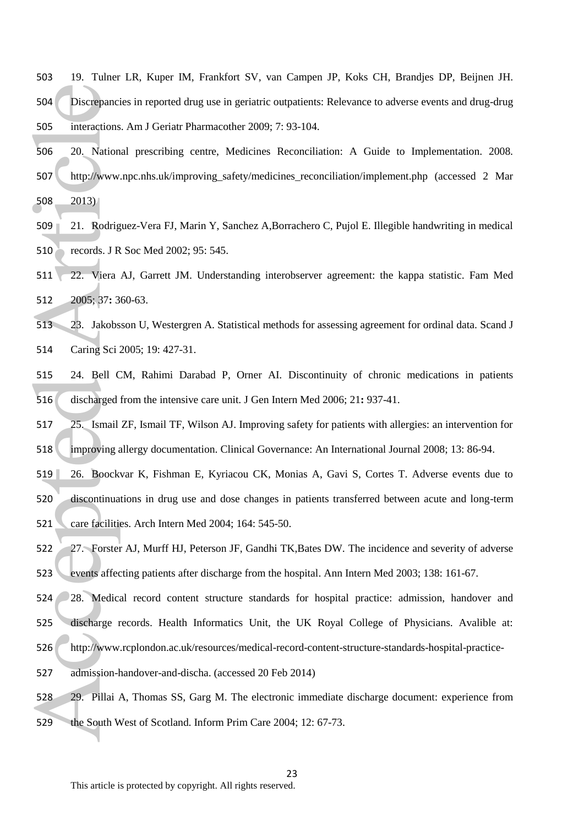- 19. Tulner LR, Kuper IM, Frankfort SV, van Campen JP, Koks CH, Brandjes DP, Beijnen JH. Discrepancies in reported drug use in geriatric outpatients: Relevance to adverse events and drug-drug interactions. Am J Geriatr Pharmacother 2009; 7: 93-104.
- 20. National prescribing centre, Medicines Reconciliation: A Guide to Implementation. 2008. http://www.npc.nhs.uk/improving\_safety/medicines\_reconciliation/implement.php (accessed 2 Mar 2013) 504 Discrep<br>
505 interact<br>
506 20. Na<br>
507 http://w<br>
508 2013)<br>
509 21. Re<br>
510 records<br>
511 22. Vi<br>
511 22. Vi<br>
512 2005;
- 21. Rodriguez-Vera FJ, Marin Y, Sanchez A,Borrachero C, Pujol E. Illegible handwriting in medical 510 records. J R Soc Med 2002; 95: 545.
- 22. Viera AJ, Garrett JM. Understanding interobserver agreement: the kappa statistic. Fam Med 2005; 37**:** 360-63.
- 23. Jakobsson U, Westergren A. Statistical methods for assessing agreement for ordinal data. Scand J Caring Sci 2005; 19: 427-31.
- 24. Bell CM, Rahimi Darabad P, Orner AI. Discontinuity of chronic medications in patients discharged from the intensive care unit. J Gen Intern Med 2006; 21**:** 937-41.
- 25. Ismail ZF, Ismail TF, Wilson AJ. Improving safety for patients with allergies: an intervention for improving allergy documentation. Clinical Governance: An International Journal 2008; 13: 86-94.
- 26. Boockvar K, Fishman E, Kyriacou CK, Monias A, Gavi S, Cortes T. Adverse events due to discontinuations in drug use and dose changes in patients transferred between acute and long-term care facilities. Arch Intern Med 2004; 164: 545-50. 515 24. Bell C<br>
516 discharged<br>
517 25. Ismail<br>
518 improving a<br>
519 26. Boock<br>
520 discontinua<br>
521 care facilities<br>
522 27. Forster<br>
522 28. Medica<br>
524 28. Medica<br>
525 discharge 1<br>
526 http://www<br>
525 discharge 1<br>
526 h
- 27. Forster AJ, Murff HJ, Peterson JF, Gandhi TK,Bates DW. The incidence and severity of adverse events affecting patients after discharge from the hospital. Ann Intern Med 2003; 138: 161-67.
- 28. Medical record content structure standards for hospital practice: admission, handover and discharge records. Health Informatics Unit, the UK Royal College of Physicians. Avalible at:
- http://www.rcplondon.ac.uk/resources/medical-record-content-structure-standards-hospital-practice-
- admission-handover-and-discha. (accessed 20 Feb 2014)
- 29. Pillai A, Thomas SS, Garg M. The electronic immediate discharge document: experience from the South West of Scotland. Inform Prim Care 2004; 12: 67-73.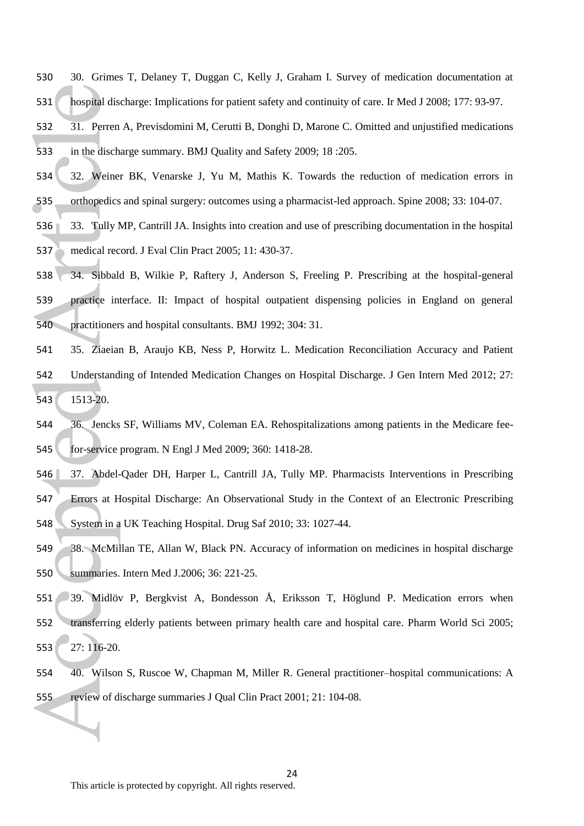- 30. Grimes T, Delaney T, Duggan C, Kelly J, Graham I. Survey of medication documentation at hospital discharge: Implications for patient safety and continuity of care. Ir Med J 2008; 177: 93-97.
- 31. Perren A, Previsdomini M, Cerutti B, Donghi D, Marone C. Omitted and unjustified medications in the discharge summary. BMJ Quality and Safety 2009; 18 :205.
- 32. Weiner BK, Venarske J, Yu M, Mathis K. Towards the reduction of medication errors in
- orthopedics and spinal surgery: outcomes using a pharmacist-led approach. Spine 2008; 33: 104-07.
- 33. Tully MP, Cantrill JA. Insights into creation and use of prescribing documentation in the hospital
- medical record. J Eval Clin Pract 2005; 11: 430-37.
- 34. Sibbald B, Wilkie P, Raftery J, Anderson S, Freeling P. Prescribing at the hospital-general practice interface. II: Impact of hospital outpatient dispensing policies in England on general practitioners and hospital consultants. BMJ 1992; 304: 31. 531 hospital dis<br>
532 31. Perren<br>
533 in the disch<br>
534 32. Weine<br>
535 orthopedics<br>
536 33. Tully I<br>
537 medical rec<br>
538 34. Sibbal<br>
539 practice in<br>
540 practitioner<br>
541 35. Ziaeia<br>
542 Understand<br>
543 1513-20.<br>
544 36.
- 35. Ziaeian B, Araujo KB, Ness P, Horwitz L. Medication Reconciliation Accuracy and Patient
- Understanding of Intended Medication Changes on Hospital Discharge. J Gen Intern Med 2012; 27: 1513-20.
- 36. Jencks SF, Williams MV, Coleman EA. Rehospitalizations among patients in the Medicare fee-for-service program. N Engl J Med 2009; 360: 1418-28.
- 37. Abdel-Qader DH, Harper L, Cantrill JA, Tully MP. Pharmacists Interventions in Prescribing Errors at Hospital Discharge: An Observational Study in the Context of an Electronic Prescribing
- System in a UK Teaching Hospital. Drug Saf 2010; 33: 1027-44.
- 38. McMillan TE, Allan W, Black PN. Accuracy of information on medicines in hospital discharge summaries. Intern Med J.2006; 36: 221-25.
- 39. Midlöv P, Bergkvist A, Bondesson Å, Eriksson T, Höglund P. Medication errors when
- transferring elderly patients between primary health care and hospital care. Pharm World Sci 2005; 27: 116-20.
- 40. Wilson S, Ruscoe W, Chapman M, Miller R. General practitioner–hospital communications: A review of discharge summaries J Qual Clin Pract 2001; 21: 104-08.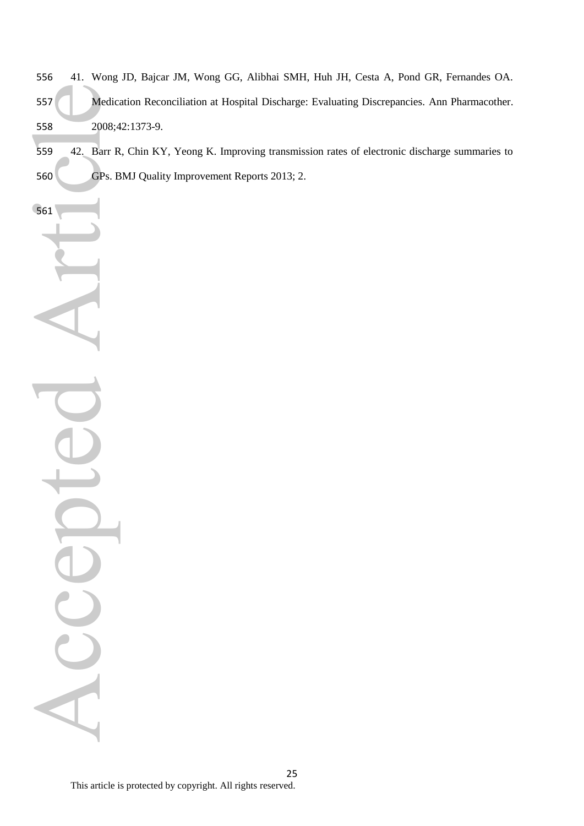- 41. Wong JD, Bajcar JM, Wong GG, Alibhai SMH, Huh JH, Cesta A, Pond GR, Fernandes OA. Medication Reconciliation at Hospital Discharge: Evaluating Discrepancies. Ann Pharmacother. 2008;42:1373-9.
- 42. Barr R, Chin KY, Yeong K. Improving transmission rates of electronic discharge summaries to GPs. BMJ Quality Improvement Reports 2013; 2.

Accepted Article  $\overline{1}$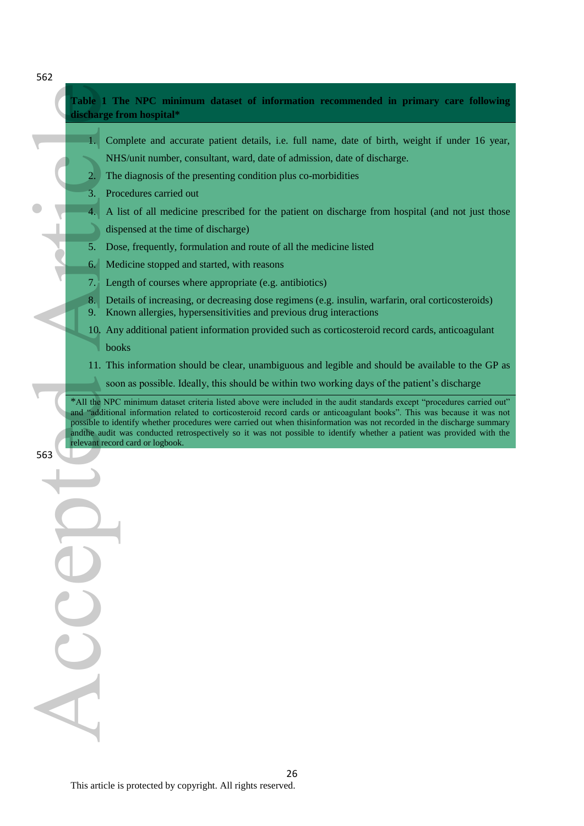| 562                                                                                                                                                                                                                                                                                                                                                                                                                                                                                                                                                |
|----------------------------------------------------------------------------------------------------------------------------------------------------------------------------------------------------------------------------------------------------------------------------------------------------------------------------------------------------------------------------------------------------------------------------------------------------------------------------------------------------------------------------------------------------|
| Table 1 The NPC minimum dataset of information recommended in primary care following<br>discharge from hospital*                                                                                                                                                                                                                                                                                                                                                                                                                                   |
| Complete and accurate patient details, i.e. full name, date of birth, weight if under 16 year,                                                                                                                                                                                                                                                                                                                                                                                                                                                     |
| NHS/unit number, consultant, ward, date of admission, date of discharge.                                                                                                                                                                                                                                                                                                                                                                                                                                                                           |
| The diagnosis of the presenting condition plus co-morbidities<br>2.                                                                                                                                                                                                                                                                                                                                                                                                                                                                                |
| Procedures carried out<br>3.                                                                                                                                                                                                                                                                                                                                                                                                                                                                                                                       |
| A list of all medicine prescribed for the patient on discharge from hospital (and not just those<br>4.                                                                                                                                                                                                                                                                                                                                                                                                                                             |
| dispensed at the time of discharge)                                                                                                                                                                                                                                                                                                                                                                                                                                                                                                                |
| Dose, frequently, formulation and route of all the medicine listed<br>5.                                                                                                                                                                                                                                                                                                                                                                                                                                                                           |
| Medicine stopped and started, with reasons<br>6.                                                                                                                                                                                                                                                                                                                                                                                                                                                                                                   |
| Length of courses where appropriate (e.g. antibiotics)<br>7.                                                                                                                                                                                                                                                                                                                                                                                                                                                                                       |
| Details of increasing, or decreasing dose regimens (e.g. insulin, warfarin, oral corticosteroids)<br>8.<br>Known allergies, hypersensitivities and previous drug interactions<br>9.                                                                                                                                                                                                                                                                                                                                                                |
| 10. Any additional patient information provided such as corticosteroid record cards, anticoagulant                                                                                                                                                                                                                                                                                                                                                                                                                                                 |
| books                                                                                                                                                                                                                                                                                                                                                                                                                                                                                                                                              |
| 11. This information should be clear, unambiguous and legible and should be available to the GP as                                                                                                                                                                                                                                                                                                                                                                                                                                                 |
| soon as possible. Ideally, this should be within two working days of the patient's discharge                                                                                                                                                                                                                                                                                                                                                                                                                                                       |
| *All the NPC minimum dataset criteria listed above were included in the audit standards except "procedures carried out"<br>and "additional information related to corticosteroid record cards or anticoagulant books". This was because it was not<br>possible to identify whether procedures were carried out when thisinformation was not recorded in the discharge summary<br>and the audit was conducted retrospectively so it was not possible to identify whether a patient was provided with the<br>relevant record card or logbook.<br>563 |
|                                                                                                                                                                                                                                                                                                                                                                                                                                                                                                                                                    |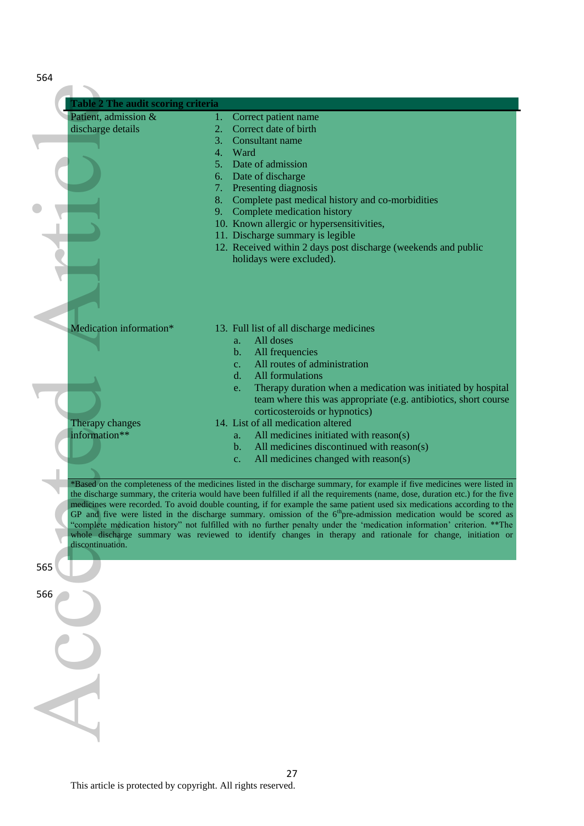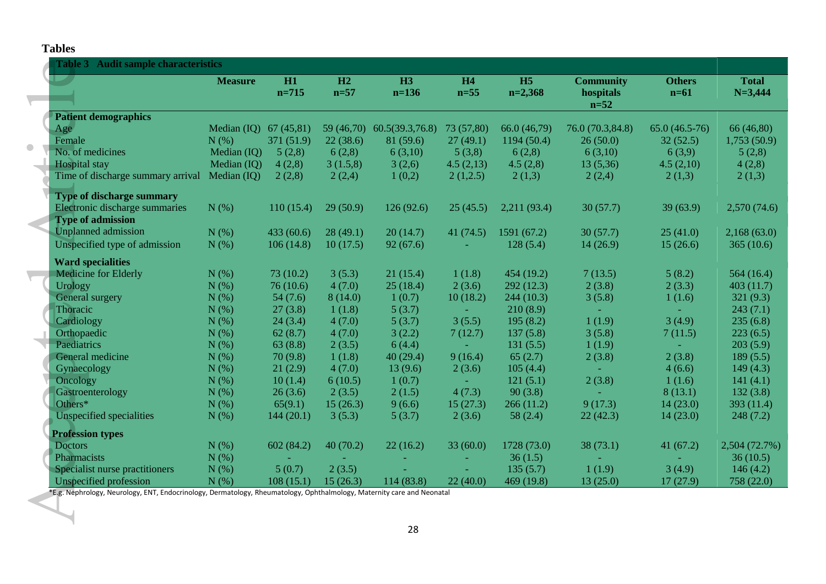**Tables** 

|                                                                                                                                                  | <b>Measure</b>         | H1<br>$n = 715$ | H2<br>$n=57$ | <b>H3</b><br>$n=136$                   | <b>H4</b><br>$n=55$ | <b>H5</b><br>$n=2,368$ | <b>Community</b><br>hospitals<br>$n=52$ | <b>Others</b><br>$n=61$ | <b>Total</b><br>$N = 3,444$ |
|--------------------------------------------------------------------------------------------------------------------------------------------------|------------------------|-----------------|--------------|----------------------------------------|---------------------|------------------------|-----------------------------------------|-------------------------|-----------------------------|
| <b>Patient demographics</b>                                                                                                                      |                        |                 |              |                                        |                     |                        |                                         |                         |                             |
| Age                                                                                                                                              | Median (IQ) 67 (45,81) |                 |              | 59 (46,70) 60.5 (39.3,76.8) 73 (57,80) |                     | 66.0(46,79)            | 76.0 (70.3,84.8)                        | $65.0(46.5-76)$         | 66 (46,80)                  |
| Female                                                                                                                                           | $N(\%)$                | 371 (51.9)      | 22(38.6)     | 81 (59.6)                              | 27(49.1)            | 1194(50.4)             | 26(50.0)                                | 32(52.5)                | 1,753(50.9)                 |
| No. of medicines                                                                                                                                 | Median (IQ)            | 5(2,8)          | 6(2,8)       | 6(3,10)                                | 5(3,8)              | 6(2,8)                 | 6(3,10)                                 | 6(3,9)                  | 5(2,8)                      |
| <b>Hospital</b> stay                                                                                                                             | Median (IQ)            | 4(2,8)          | 3(1.5,8)     | 3(2,6)                                 | 4.5(2,13)           | 4.5(2,8)               | 13(5,36)                                | 4.5(2,10)               | 4(2,8)                      |
| Time of discharge summary arrival Median (IQ)                                                                                                    |                        | 2(2,8)          | 2(2,4)       | 1(0,2)                                 | 2(1,2.5)            | 2(1,3)                 | 2(2,4)                                  | 2(1,3)                  | 2(1,3)                      |
| <b>Type of discharge summary</b>                                                                                                                 |                        |                 |              |                                        |                     |                        |                                         |                         |                             |
| Electronic discharge summaries                                                                                                                   | N(%)                   | 110(15.4)       | 29(50.9)     | 126(92.6)                              | 25(45.5)            | 2,211(93.4)            | 30(57.7)                                | 39(63.9)                | 2,570(74.6)                 |
| <b>Type of admission</b>                                                                                                                         |                        |                 |              |                                        |                     |                        |                                         |                         |                             |
| <b>Unplanned</b> admission                                                                                                                       | N(%)                   | 433(60.6)       | 28(49.1)     | 20(14.7)                               | 41(74.5)            | 1591(67.2)             | 30(57.7)                                | 25(41.0)                | 2,168(63.0)                 |
| Unspecified type of admission                                                                                                                    | N(%)                   | 106(14.8)       | 10(17.5)     | 92(67.6)                               |                     | 128(5.4)               | 14(26.9)                                | 15(26.6)                | 365(10.6)                   |
| <b>Ward specialities</b>                                                                                                                         |                        |                 |              |                                        |                     |                        |                                         |                         |                             |
| Medicine for Elderly                                                                                                                             | N(%)                   | 73(10.2)        | 3(5.3)       | 21(15.4)                               | 1(1.8)              | 454(19.2)              | 7(13.5)                                 | 5(8.2)                  | 564 $(16.4)$                |
| Urology                                                                                                                                          | N(%)                   | 76(10.6)        | 4(7.0)       | 25(18.4)                               | 2(3.6)              | 292(12.3)              | 2(3.8)                                  | 2(3.3)                  | 403(11.7)                   |
| General surgery                                                                                                                                  | N(%)                   | 54(7.6)         | 8(14.0)      | 1(0.7)                                 | 10(18.2)            | 244(10.3)              | 3(5.8)                                  | 1(1.6)                  | 321(9.3)                    |
| Thoracic                                                                                                                                         | N(%)                   | 27(3.8)         | 1(1.8)       | 5(3.7)                                 |                     | 210(8.9)               | $\sim$                                  |                         | 243(7.1)                    |
| Cardiology                                                                                                                                       | N(%)                   | 24(3.4)         | 4(7.0)       | 5(3.7)                                 | 3(5.5)              | 195(8.2)               | 1(1.9)                                  | 3(4.9)                  | 235(6.8)                    |
| Orthopaedic                                                                                                                                      | N(%)                   | 62(8.7)         | 4(7.0)       | 3(2.2)                                 | 7(12.7)             | 137(5.8)               | 3(5.8)                                  | 7(11.5)                 | 223(6.5)                    |
| Paediatrics                                                                                                                                      | N(%)                   | 63(8.8)         | 2(3.5)       | 6(4.4)                                 | $\sim$              | 131(5.5)               | 1(1.9)                                  | $\omega_{\rm{eff}}$     | 203(5.9)                    |
| General medicine                                                                                                                                 | N(%)                   | 70(9.8)         | 1(1.8)       | 40(29.4)                               | 9(16.4)             | 65(2.7)                | 2(3.8)                                  | 2(3.8)                  | 189(5.5)                    |
| Gynaecology                                                                                                                                      | N(%)                   | 21(2.9)         | 4(7.0)       | 13(9.6)                                | 2(3.6)              | 105(4.4)               | $\sim 10$                               | 4(6.6)                  | 149(4.3)                    |
| Oncology                                                                                                                                         | N(%)                   | 10(1.4)         | 6(10.5)      | 1(0.7)                                 | $\sim 10$           | 121(5.1)               | 2(3.8)                                  | 1(1.6)                  | 141(4.1)                    |
| Gastroenterology                                                                                                                                 | N(%)                   | 26(3.6)         | 2(3.5)       | 2(1.5)                                 | 4(7.3)              | 90(3.8)                | $\sim$                                  | 8(13.1)                 | 132(3.8)                    |
| Others*                                                                                                                                          | $N(\%)$                | 65(9.1)         | 15(26.3)     | 9(6.6)                                 | 15(27.3)            | 266(11.2)              | 9(17.3)                                 | 14(23.0)                | 393(11.4)                   |
| <b>Unspecified specialities</b>                                                                                                                  | $N(\%)$                | 144(20.1)       | 3(5.3)       | 5(3.7)                                 | 2(3.6)              | 58(2.4)                | 22(42.3)                                | 14(23.0)                | 248(7.2)                    |
| <b>Profession types</b>                                                                                                                          |                        |                 |              |                                        |                     |                        |                                         |                         |                             |
| <b>Doctors</b>                                                                                                                                   | N(%)                   | 602(84.2)       | 40(70.2)     | 22(16.2)                               | 33(60.0)            | 1728 (73.0)            | 38(73.1)                                | 41(67.2)                | 2,504 (72.7%)               |
| Pharmacists                                                                                                                                      | $N$ (%)                |                 |              |                                        |                     | 36(1.5)                |                                         |                         | 36(10.5)                    |
| Specialist nurse practitioners                                                                                                                   | $N(\%)$                | 5(0.7)          | 2(3.5)       |                                        |                     | 135(5.7)               | 1(1.9)                                  | 3(4.9)                  | 146(4.2)                    |
| Unspecified profession<br>*E.g. Nephrology, Neurology, ENT, Endocrinology, Dermatology, Rheumatology, Ophthalmology, Maternity care and Neonatal | N(%)                   | 108(15.1)       | 15(26.3)     | 114(83.8)                              | 22(40.0)            | 469(19.8)              | 13(25.0)                                | 17(27.9)                | 758 (22.0)                  |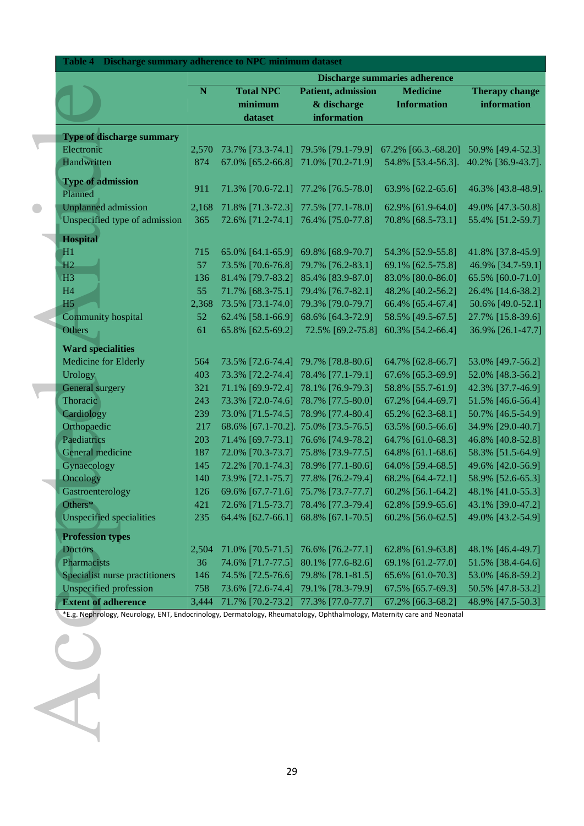|                                  |       | <b>Discharge summaries adherence</b>      |                                      |                        |                       |  |  |  |  |  |  |  |
|----------------------------------|-------|-------------------------------------------|--------------------------------------|------------------------|-----------------------|--|--|--|--|--|--|--|
|                                  | N     | <b>Total NPC</b>                          | Patient, admission                   | <b>Medicine</b>        | <b>Therapy change</b> |  |  |  |  |  |  |  |
|                                  |       | minimum                                   | & discharge                          | <b>Information</b>     | information           |  |  |  |  |  |  |  |
|                                  |       | dataset                                   | information                          |                        |                       |  |  |  |  |  |  |  |
| <b>Type of discharge summary</b> |       |                                           |                                      |                        |                       |  |  |  |  |  |  |  |
| Electronic                       | 2,570 |                                           | 73.7% [73.3-74.1] 79.5% [79.1-79.9]  | $67.2\%$ [66.3.-68.20] | 50.9% [49.4-52.3]     |  |  |  |  |  |  |  |
| Handwritten                      | 874   | 67.0% [65.2-66.8]                         | 71.0% [70.2-71.9]                    | 54.8% [53.4-56.3].     | 40.2% [36.9-43.7].    |  |  |  |  |  |  |  |
| <b>Type of admission</b>         | 911   | 71.3% [70.6-72.1]                         | 77.2% [76.5-78.0]                    | 63.9% [62.2-65.6]      | 46.3% [43.8-48.9].    |  |  |  |  |  |  |  |
| Planned                          |       |                                           |                                      |                        |                       |  |  |  |  |  |  |  |
| <b>Unplanned</b> admission       | 2,168 | 71.8% [71.3-72.3]                         | 77.5% [77.1-78.0]                    | 62.9% [61.9-64.0]      | 49.0% [47.3-50.8]     |  |  |  |  |  |  |  |
| Unspecified type of admission    | 365   | 72.6% [71.2-74.1]                         | 76.4% [75.0-77.8]                    | 70.8% [68.5-73.1]      | 55.4% [51.2-59.7]     |  |  |  |  |  |  |  |
| Hospital                         |       |                                           |                                      |                        |                       |  |  |  |  |  |  |  |
| H1                               | 715   | 65.0% [64.1-65.9]                         | 69.8% [68.9-70.7]                    | 54.3% [52.9-55.8]      | 41.8% [37.8-45.9]     |  |  |  |  |  |  |  |
| H2                               | 57    | 73.5% [70.6-76.8]                         | 79.7% [76.2-83.1]                    | 69.1% [62.5-75.8]      | 46.9% [34.7-59.1]     |  |  |  |  |  |  |  |
| H <sub>3</sub>                   | 136   | 81.4% [79.7-83.2]                         | 85.4% [83.9-87.0]                    | 83.0% [80.0-86.0]      | 65.5% [60.0-71.0]     |  |  |  |  |  |  |  |
| H <sub>4</sub>                   | 55    | 71.7% [68.3-75.1]                         | 79.4% [76.7-82.1]                    | 48.2% [40.2-56.2]      | 26.4% [14.6-38.2]     |  |  |  |  |  |  |  |
| H <sub>5</sub>                   | 2,368 | 73.5% [73.1-74.0]                         | 79.3% [79.0-79.7]                    | 66.4% [65.4-67.4]      | 50.6% [49.0-52.1]     |  |  |  |  |  |  |  |
| Community hospital               | 52    | 62.4% [58.1-66.9]                         | 68.6% [64.3-72.9]                    | 58.5% [49.5-67.5]      | 27.7% [15.8-39.6]     |  |  |  |  |  |  |  |
| Others                           | 61    | 65.8% [62.5-69.2]                         | 72.5% [69.2-75.8]                    | 60.3% [54.2-66.4]      | 36.9% [26.1-47.7]     |  |  |  |  |  |  |  |
| <b>Ward specialities</b>         |       |                                           |                                      |                        |                       |  |  |  |  |  |  |  |
| Medicine for Elderly             | 564   | 73.5% [72.6-74.4]                         | 79.7% [78.8-80.6]                    | 64.7% [62.8-66.7]      | 53.0% [49.7-56.2]     |  |  |  |  |  |  |  |
| Urology                          | 403   | 73.3% [72.2-74.4]                         | 78.4% [77.1-79.1]                    | 67.6% [65.3-69.9]      | 52.0% [48.3-56.2]     |  |  |  |  |  |  |  |
| General surgery                  | 321   | 71.1% [69.9-72.4]                         | 78.1% [76.9-79.3]                    | 58.8% [55.7-61.9]      | 42.3% [37.7-46.9]     |  |  |  |  |  |  |  |
| Thoracic                         | 243   | 73.3% [72.0-74.6]                         | 78.7% [77.5-80.0]                    | 67.2% [64.4-69.7]      | 51.5% [46.6-56.4]     |  |  |  |  |  |  |  |
| Cardiology                       | 239   | 73.0% [71.5-74.5]                         | 78.9% [77.4-80.4]                    | 65.2% [62.3-68.1]      | 50.7% [46.5-54.9]     |  |  |  |  |  |  |  |
| Orthopaedic                      | 217   |                                           | 68.6% [67.1-70.2]. 75.0% [73.5-76.5] | 63.5% [60.5-66.6]      | 34.9% [29.0-40.7]     |  |  |  |  |  |  |  |
| Paediatrics                      | 203   | 71.4% [69.7-73.1]                         | 76.6% [74.9-78.2]                    | 64.7% [61.0-68.3]      | 46.8% [40.8-52.8]     |  |  |  |  |  |  |  |
| General medicine                 | 187   | 72.0% [70.3-73.7]                         | 75.8% [73.9-77.5]                    | 64.8% [61.1-68.6]      | 58.3% [51.5-64.9]     |  |  |  |  |  |  |  |
| Gynaecology                      | 145   | 72.2% [70.1-74.3]                         | 78.9% [77.1-80.6]                    | 64.0% [59.4-68.5]      | 49.6% [42.0-56.9]     |  |  |  |  |  |  |  |
| Oncology                         | 140   | 73.9% [72.1-75.7]                         | 77.8% [76.2-79.4]                    | 68.2% [64.4-72.1]      | 58.9% [52.6-65.3]     |  |  |  |  |  |  |  |
| Gastroenterology                 | 126   | 69.6% [67.7-71.6]                         | 75.7% [73.7-77.7]                    | 60.2% [56.1-64.2]      | 48.1% [41.0-55.3]     |  |  |  |  |  |  |  |
| Others*                          | 421   |                                           | 72.6% [71.5-73.7] 78.4% [77.3-79.4]  | 62.8% [59.9-65.6]      | 43.1% [39.0-47.2]     |  |  |  |  |  |  |  |
| <b>Unspecified specialities</b>  | 235   |                                           | 64.4% [62.7-66.1] 68.8% [67.1-70.5]  | 60.2% [56.0-62.5]      | 49.0% [43.2-54.9]     |  |  |  |  |  |  |  |
| <b>Profession types</b>          |       |                                           |                                      |                        |                       |  |  |  |  |  |  |  |
| <b>Doctors</b>                   | 2,504 |                                           | 71.0% [70.5-71.5] 76.6% [76.2-77.1]  | 62.8% [61.9-63.8]      | 48.1% [46.4-49.7]     |  |  |  |  |  |  |  |
| Pharmacists                      | 36    |                                           | 74.6% [71.7-77.5] 80.1% [77.6-82.6]  | 69.1% [61.2-77.0]      | 51.5% [38.4-64.6]     |  |  |  |  |  |  |  |
| Specialist nurse practitioners   | 146   |                                           | 74.5% [72.5-76.6] 79.8% [78.1-81.5]  | 65.6% [61.0-70.3]      | 53.0% [46.8-59.2]     |  |  |  |  |  |  |  |
| Unspecified profession           | 758   | 73.6% [72.6-74.4]                         | 79.1% [78.3-79.9]                    | 67.5% [65.7-69.3]      | 50.5% [47.8-53.2]     |  |  |  |  |  |  |  |
| <b>Extent of adherence</b>       |       | 3,444 71.7% [70.2-73.2] 77.3% [77.0-77.7] |                                      | 67.2% [66.3-68.2]      | 48.9% [47.5-50.3]     |  |  |  |  |  |  |  |

 $\bullet$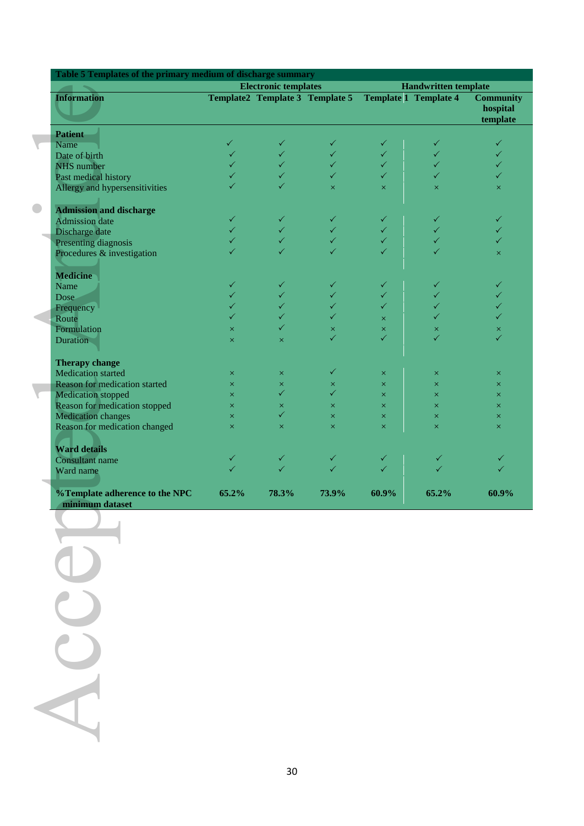| <b>Information</b><br><b>Patient</b><br>Name<br>Date of birth<br><b>NHS</b> number<br>Past medical history |                      | <b>Template2 Template 3 Template 5</b> |                          |                          | <b>Handwritten template</b>  |                              |  |  |  |
|------------------------------------------------------------------------------------------------------------|----------------------|----------------------------------------|--------------------------|--------------------------|------------------------------|------------------------------|--|--|--|
|                                                                                                            |                      |                                        |                          |                          | <b>Template 1 Template 4</b> | <b>Community</b><br>hospital |  |  |  |
|                                                                                                            |                      |                                        |                          |                          |                              | template                     |  |  |  |
|                                                                                                            |                      |                                        |                          |                          |                              |                              |  |  |  |
|                                                                                                            | $\checkmark$         | ✓                                      | $\checkmark$             | ✓                        | ✓                            | ✓                            |  |  |  |
|                                                                                                            | ✓                    | $\checkmark$                           | $\checkmark$             |                          |                              |                              |  |  |  |
|                                                                                                            | $\checkmark$         | $\checkmark$                           | $\checkmark$             | $\checkmark$             |                              |                              |  |  |  |
|                                                                                                            | $\checkmark$         | $\checkmark$                           | $\checkmark$             | $\checkmark$             | $\checkmark$                 |                              |  |  |  |
| Allergy and hypersensitivities                                                                             | $\checkmark$         | $\checkmark$                           | $\times$                 | $\times$                 | $\times$                     | $\times$                     |  |  |  |
|                                                                                                            |                      |                                        |                          |                          |                              |                              |  |  |  |
| <b>Admission and discharge</b>                                                                             |                      |                                        |                          |                          |                              |                              |  |  |  |
| <b>Admission</b> date                                                                                      | $\checkmark$         | $\checkmark$                           | $\checkmark$             | ✓                        | ✓                            |                              |  |  |  |
| Discharge date                                                                                             | $\checkmark$         | $\checkmark$                           | $\checkmark$             | $\checkmark$             | $\checkmark$                 |                              |  |  |  |
| Presenting diagnosis                                                                                       | $\checkmark$         | $\checkmark$                           | $\checkmark$             | $\checkmark$             |                              |                              |  |  |  |
| Procedures & investigation                                                                                 | $\checkmark$         | $\checkmark$                           | $\checkmark$             |                          |                              | $\times$                     |  |  |  |
| <b>Medicine</b>                                                                                            |                      |                                        |                          |                          |                              |                              |  |  |  |
| Name                                                                                                       | ✓                    | ✓                                      | $\checkmark$             | $\checkmark$             | $\checkmark$                 | ✓                            |  |  |  |
| Dose                                                                                                       | ✓                    | $\checkmark$                           | $\checkmark$             | $\checkmark$             |                              |                              |  |  |  |
| Frequency                                                                                                  | $\checkmark$         | $\checkmark$                           | $\checkmark$             | $\checkmark$             | ✓                            |                              |  |  |  |
| Route                                                                                                      | $\checkmark$         | $\checkmark$                           | $\checkmark$             |                          | $\checkmark$                 |                              |  |  |  |
| Formulation                                                                                                |                      | $\checkmark$                           |                          | $\times$                 |                              |                              |  |  |  |
| Duration                                                                                                   | $\times$<br>$\times$ |                                        | $\times$<br>$\checkmark$ | $\times$<br>$\checkmark$ | $\times$<br>$\checkmark$     | $\times$<br>$\checkmark$     |  |  |  |
|                                                                                                            |                      | $\times$                               |                          |                          |                              |                              |  |  |  |
| <b>Therapy change</b>                                                                                      |                      |                                        |                          |                          |                              |                              |  |  |  |
| <b>Medication</b> started                                                                                  | $\times$             | $\times$                               | ✓                        | $\times$                 | $\times$                     | $\times$                     |  |  |  |
| Reason for medication started                                                                              | $\times$             | $\times$                               | $\times$                 | $\times$                 | $\times$                     | $\times$                     |  |  |  |
| <b>Medication</b> stopped                                                                                  | $\times$             | $\checkmark$                           | $\checkmark$             | $\times$                 | $\times$                     | $\times$                     |  |  |  |
| Reason for medication stopped                                                                              | $\times$             | $\times$                               | $\times$                 | $\times$                 | $\times$                     | $\times$                     |  |  |  |
| <b>Medication</b> changes                                                                                  | $\times$             | $\checkmark$                           | $\times$                 | $\times$                 | $\times$                     | $\times$                     |  |  |  |
| Reason for medication changed                                                                              | $\times$             | $\times$                               | $\times$                 | $\times$                 | $\times$                     | $\times$                     |  |  |  |
|                                                                                                            |                      |                                        |                          |                          |                              |                              |  |  |  |
| <b>Ward details</b>                                                                                        |                      |                                        |                          |                          |                              |                              |  |  |  |
| Consultant name                                                                                            | ✓                    | $\checkmark$                           | $\checkmark$             | $\checkmark$             |                              |                              |  |  |  |
| Ward name                                                                                                  | $\checkmark$         | $\checkmark$                           | $\checkmark$             | $\checkmark$             | $\checkmark$                 |                              |  |  |  |
|                                                                                                            |                      |                                        |                          |                          |                              |                              |  |  |  |
| %Template adherence to the NPC                                                                             | 65.2%                | 78.3%                                  | 73.9%                    | 60.9%                    | 65.2%                        | 60.9%                        |  |  |  |
| minimum dataset                                                                                            |                      |                                        |                          |                          |                              |                              |  |  |  |
|                                                                                                            |                      |                                        |                          |                          |                              |                              |  |  |  |
|                                                                                                            |                      |                                        |                          |                          |                              |                              |  |  |  |
|                                                                                                            |                      |                                        |                          |                          |                              |                              |  |  |  |
|                                                                                                            |                      |                                        |                          |                          |                              |                              |  |  |  |
|                                                                                                            |                      |                                        |                          |                          |                              |                              |  |  |  |
|                                                                                                            |                      |                                        |                          |                          |                              |                              |  |  |  |
|                                                                                                            |                      |                                        |                          |                          |                              |                              |  |  |  |
|                                                                                                            |                      |                                        |                          |                          |                              |                              |  |  |  |
|                                                                                                            |                      |                                        |                          |                          |                              |                              |  |  |  |
|                                                                                                            |                      |                                        |                          |                          |                              |                              |  |  |  |
| $\epsilon$ )                                                                                               |                      |                                        |                          |                          |                              |                              |  |  |  |
|                                                                                                            |                      |                                        |                          |                          |                              |                              |  |  |  |
|                                                                                                            |                      |                                        |                          |                          |                              |                              |  |  |  |
|                                                                                                            |                      |                                        |                          |                          |                              |                              |  |  |  |
|                                                                                                            |                      |                                        |                          |                          |                              |                              |  |  |  |
|                                                                                                            |                      |                                        |                          |                          |                              |                              |  |  |  |
|                                                                                                            |                      |                                        |                          |                          |                              |                              |  |  |  |
|                                                                                                            |                      |                                        |                          |                          |                              |                              |  |  |  |
|                                                                                                            |                      |                                        |                          |                          |                              |                              |  |  |  |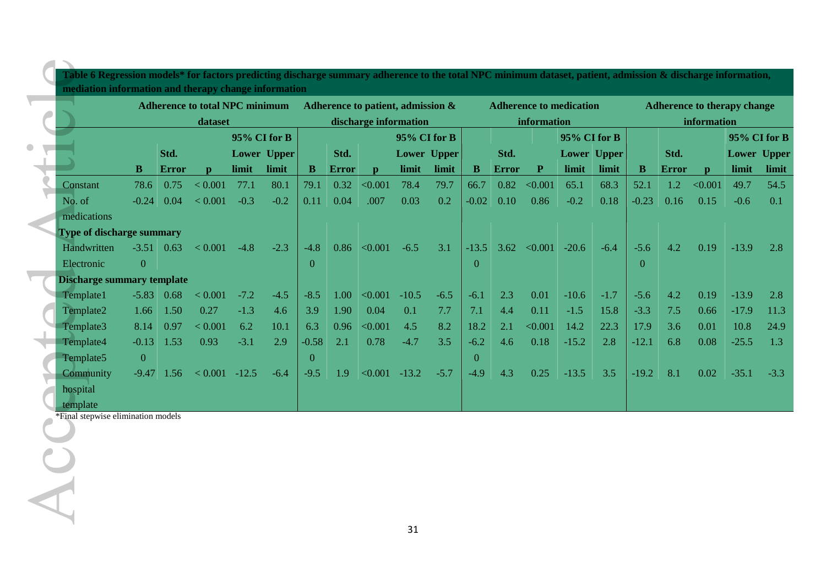|                                   |                |              | <b>Adherence to total NPC minimum</b><br>dataset |        |              | Adherence to patient, admission &<br>discharge information |              |              |              |             | <b>Adherence to medication</b><br>information |              |                                  |              |             | <b>Adherence to therapy change</b><br>information |              |              |              |        |
|-----------------------------------|----------------|--------------|--------------------------------------------------|--------|--------------|------------------------------------------------------------|--------------|--------------|--------------|-------------|-----------------------------------------------|--------------|----------------------------------|--------------|-------------|---------------------------------------------------|--------------|--------------|--------------|--------|
|                                   |                |              |                                                  |        | 95% CI for B |                                                            |              |              | 95% CI for B |             |                                               |              |                                  | 95% CI for B |             |                                                   |              |              | 95% CI for B |        |
|                                   |                | Std.         |                                                  |        | Lower Upper  |                                                            | Std.         |              |              | Lower Upper |                                               | Std.         |                                  |              | Lower Upper |                                                   | Std.         |              | Lower Upper  |        |
|                                   | B              | <b>Error</b> | $\mathbf{p}$                                     | limit  | limit        | B                                                          | <b>Error</b> | $\mathbf{p}$ | limit        | limit       | $\mathbf{B}$                                  | <b>Error</b> | $\mathbf P$                      | limit        | limit       | $\, {\bf B}$                                      | <b>Error</b> | $\mathbf{p}$ | limit        | limit  |
| Constant                          | 78.6           | 0.75         | < 0.001                                          | 77.1   | 80.1         | 79.1                                                       | 0.32         | < 0.001      | 78.4         | 79.7        | 66.7                                          | 0.82         | < 0.001                          | 65.1         | 68.3        | 52.1                                              | $1.2\,$      | < 0.001      | 49.7         | 54.5   |
| No. of                            | $-0.24$        | 0.04         | ${}< 0.001$                                      | $-0.3$ | $-0.2$       | 0.11                                                       | 0.04         | .007         | 0.03         | 0.2         | $-0.02$                                       | 0.10         | 0.86                             | $-0.2$       | 0.18        | $-0.23$                                           | 0.16         | 0.15         | $-0.6$       | 0.1    |
| medications                       |                |              |                                                  |        |              |                                                            |              |              |              |             |                                               |              |                                  |              |             |                                                   |              |              |              |        |
| <b>Type of discharge summary</b>  |                |              |                                                  |        |              |                                                            |              |              |              |             |                                               |              |                                  |              |             |                                                   |              |              |              |        |
| Handwritten                       |                | $-3.51$ 0.63 | < 0.001                                          | $-4.8$ | $-2.3$       | $-4.8$                                                     |              | 0.86 < 0.001 | $-6.5$       | 3.1         |                                               |              | $-13.5$ $3.62$ $< 0.001$ $-20.6$ |              | $-6.4$      | $-5.6$                                            | 4.2          | 0.19         | $-13.9$      | 2.8    |
| Electronic                        | $\overline{0}$ |              |                                                  |        |              | $\theta$                                                   |              |              |              |             | $\theta$                                      |              |                                  |              |             | $\overline{0}$                                    |              |              |              |        |
| <b>Discharge summary template</b> |                |              |                                                  |        |              |                                                            |              |              |              |             |                                               |              |                                  |              |             |                                                   |              |              |              |        |
| Template1                         | $-5.83$        | 0.68         | ${}< 0.001$                                      | $-7.2$ | $-4.5$       | $-8.5$                                                     | 1.00         | < 0.001      | $-10.5$      | $-6.5$      | $-6.1$                                        | 2.3          | 0.01                             | $-10.6$      | $-1.7$      | $-5.6$                                            | 4.2          | 0.19         | $-13.9$      | 2.8    |
| Template2                         | 1.66           | 1.50         | 0.27                                             | $-1.3$ | 4.6          | 3.9                                                        | 1.90         | 0.04         | 0.1          | 7.7         | 7.1                                           | 4.4          | 0.11                             | $-1.5$       | 15.8        | $-3.3$                                            | 7.5          | 0.66         | $-17.9$      | 11.3   |
| Template3                         | 8.14           | 0.97         | < 0.001                                          | 6.2    | 10.1         | 6.3                                                        | 0.96         | < 0.001      | 4.5          | 8.2         | 18.2                                          | 2.1          | < 0.001                          | 14.2         | 22.3        | 17.9                                              | 3.6          | 0.01         | 10.8         | 24.9   |
| Template4                         | $-0.13$        | 1.53         | 0.93                                             | $-3.1$ | 2.9          | $-0.58$                                                    | 2.1          | 0.78         | $-4.7$       | 3.5         | $-6.2$                                        | 4.6          | 0.18                             | $-15.2$      | 2.8         | $-12.1$                                           | 6.8          | 0.08         | $-25.5$      | 1.3    |
| Template5                         | $\mathbf{0}$   |              |                                                  |        |              | $\mathbf{0}$                                               |              |              |              |             | $\overline{0}$                                |              |                                  |              |             |                                                   |              |              |              |        |
| Community                         | $-9.47$        | 1.56         | $< 0.001 - 12.5$                                 |        | $-6.4$       | $-9.5$                                                     | 1.9          | < 0.001      | $-13.2$      | $-5.7$      | $-4.9$                                        | 4.3          | 0.25                             | $-13.5$      | 3.5         | $-19.2$                                           | 8.1          | 0.02         | $-35.1$      | $-3.3$ |
| hospital                          |                |              |                                                  |        |              |                                                            |              |              |              |             |                                               |              |                                  |              |             |                                                   |              |              |              |        |
|                                   |                |              |                                                  |        |              |                                                            |              |              |              |             |                                               |              |                                  |              |             |                                                   |              |              |              |        |

 $\bullet$